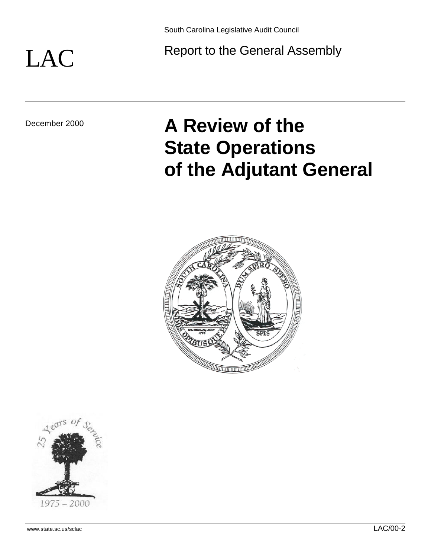# LAC Report to the General Assembly

# December 2000 **A Review of the State Operations of the Adjutant General**



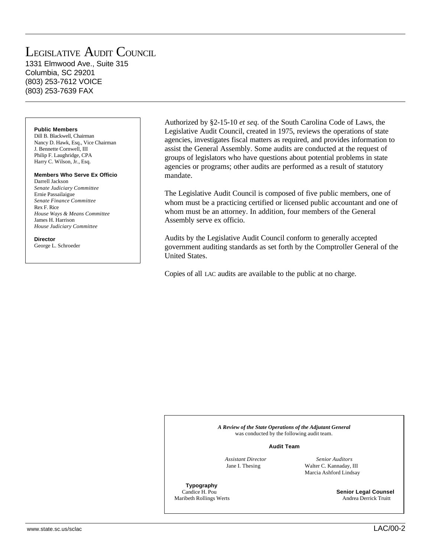# LEGISLATIVE AUDIT COUNCIL

1331 Elmwood Ave., Suite 315 Columbia, SC 29201 (803) 253-7612 VOICE (803) 253-7639 FAX

#### **Public Members**

Dill B. Blackwell, Chairman Nancy D. Hawk, Esq., Vice Chairman J. Bennette Cornwell, III Philip F. Laughridge, CPA Harry C. Wilson, Jr., Esq.

#### **Members Who Serve Ex Officio**

Darrell Jackson *Senate Judiciary Committee* Ernie Passailaigue *Senate Finance Committee* Rex F. Rice *House Ways & Means Committee* James H. Harrison *House Judiciary Committee*

**Director** George L. Schroeder

Authorized by §2-15-10 *et seq.* of the South Carolina Code of Laws, the Legislative Audit Council, created in 1975, reviews the operations of state agencies, investigates fiscal matters as required, and provides information to assist the General Assembly. Some audits are conducted at the request of groups of legislators who have questions about potential problems in state agencies or programs; other audits are performed as a result of statutory mandate.

The Legislative Audit Council is composed of five public members, one of whom must be a practicing certified or licensed public accountant and one of whom must be an attorney. In addition, four members of the General Assembly serve ex officio.

Audits by the Legislative Audit Council conform to generally accepted government auditing standards as set forth by the Comptroller General of the United States.

Copies of all LAC audits are available to the public at no charge.

*A Review of the State Operations of the Adjutant General* was conducted by the following audit team.

#### **Audit Team**

**Typography**<br>Candice **H** Pou

 *Assistant Director Senior Auditors* Jane I. Thesing Walter C. Kannaday, III Marcia Ashford Lindsay

**Senior Legal Counsel** Maribeth Rollings Werts Andrea Derrick Truitt

www.state.sc.us/sclac LAC/00-2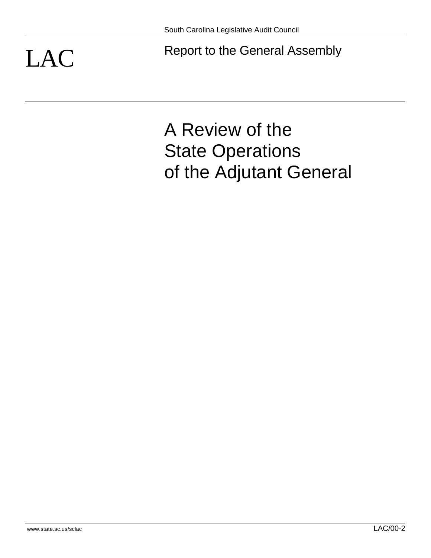LAC Report to the General Assembly

# A Review of the State Operations of the Adjutant General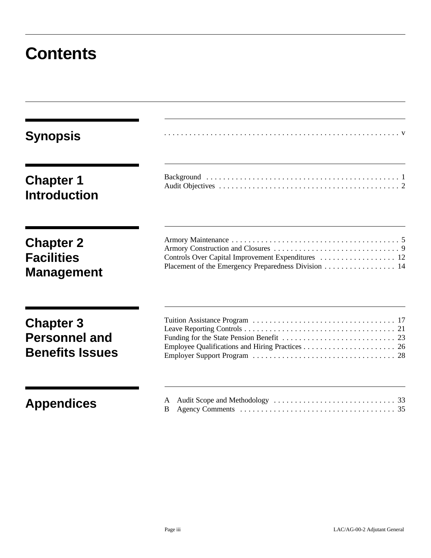# **Contents**

| <b>Synopsis</b>                                                    |                                                                                                           |
|--------------------------------------------------------------------|-----------------------------------------------------------------------------------------------------------|
| <b>Chapter 1</b><br><b>Introduction</b>                            |                                                                                                           |
| <b>Chapter 2</b><br><b>Facilities</b><br><b>Management</b>         | Controls Over Capital Improvement Expenditures  12<br>Placement of the Emergency Preparedness Division 14 |
| <b>Chapter 3</b><br><b>Personnel and</b><br><b>Benefits Issues</b> |                                                                                                           |
| <b>Appendices</b>                                                  | B                                                                                                         |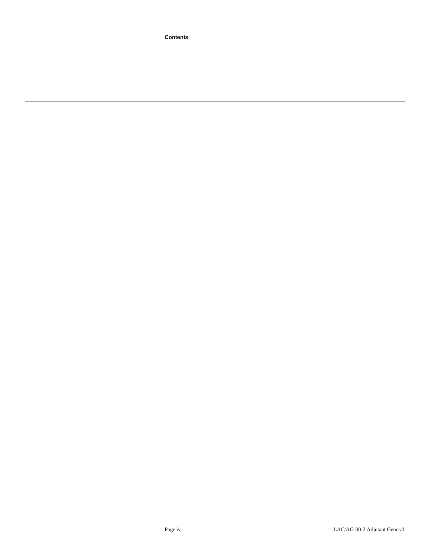**Contents**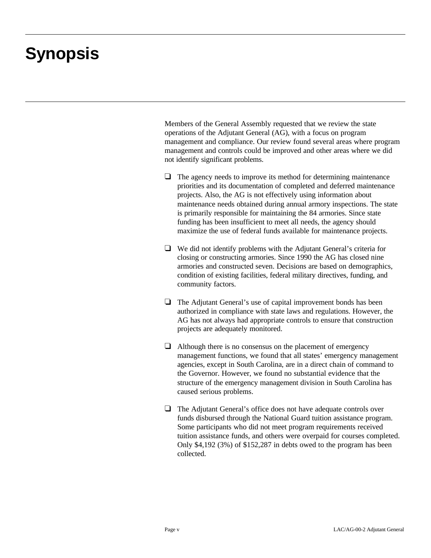# **Synopsis**

Members of the General Assembly requested that we review the state operations of the Adjutant General (AG), with a focus on program management and compliance. Our review found several areas where program management and controls could be improved and other areas where we did not identify significant problems.

- $\Box$  The agency needs to improve its method for determining maintenance priorities and its documentation of completed and deferred maintenance projects. Also, the AG is not effectively using information about maintenance needs obtained during annual armory inspections. The state is primarily responsible for maintaining the 84 armories. Since state funding has been insufficient to meet all needs, the agency should maximize the use of federal funds available for maintenance projects.
- $\Box$  We did not identify problems with the Adjutant General's criteria for closing or constructing armories. Since 1990 the AG has closed nine armories and constructed seven. Decisions are based on demographics, condition of existing facilities, federal military directives, funding, and community factors.
- $\Box$  The Adjutant General's use of capital improvement bonds has been authorized in compliance with state laws and regulations. However, the AG has not always had appropriate controls to ensure that construction projects are adequately monitored.
- $\Box$  Although there is no consensus on the placement of emergency management functions, we found that all states' emergency management agencies, except in South Carolina, are in a direct chain of command to the Governor. However, we found no substantial evidence that the structure of the emergency management division in South Carolina has caused serious problems.
- $\Box$  The Adjutant General's office does not have adequate controls over funds disbursed through the National Guard tuition assistance program. Some participants who did not meet program requirements received tuition assistance funds, and others were overpaid for courses completed. Only \$4,192 (3%) of \$152,287 in debts owed to the program has been collected.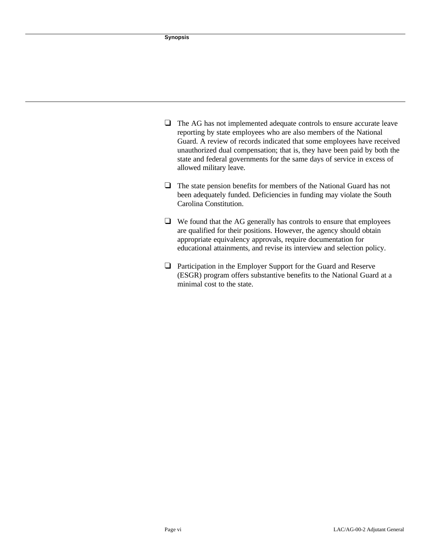- $\Box$  The AG has not implemented adequate controls to ensure accurate leave reporting by state employees who are also members of the National Guard. A review of records indicated that some employees have received unauthorized dual compensation; that is, they have been paid by both the state and federal governments for the same days of service in excess of allowed military leave.
- $\Box$  The state pension benefits for members of the National Guard has not been adequately funded. Deficiencies in funding may violate the South Carolina Constitution.
- $\Box$  We found that the AG generally has controls to ensure that employees are qualified for their positions. However, the agency should obtain appropriate equivalency approvals, require documentation for educational attainments, and revise its interview and selection policy.
- $\Box$  Participation in the Employer Support for the Guard and Reserve (ESGR) program offers substantive benefits to the National Guard at a minimal cost to the state.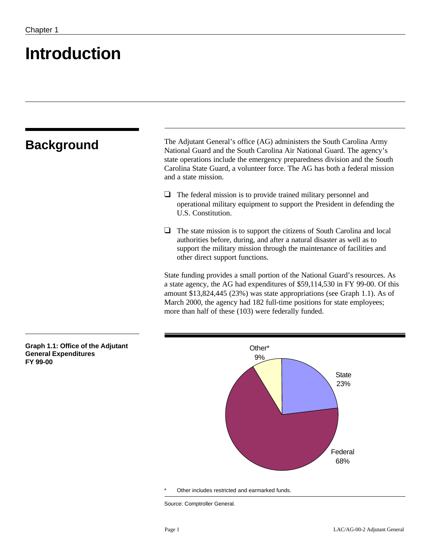# **Introduction**

**Graph 1.1: Office of the Adjutant**

**General Expenditures**

**FY 99-00**

| <b>Background</b> | The Adjutant General's office (AG) administers the South Carolina Army<br>National Guard and the South Carolina Air National Guard. The agency's<br>state operations include the emergency preparedness division and the South<br>Carolina State Guard, a volunteer force. The AG has both a federal mission<br>and a state mission.                                         |
|-------------------|------------------------------------------------------------------------------------------------------------------------------------------------------------------------------------------------------------------------------------------------------------------------------------------------------------------------------------------------------------------------------|
|                   | The federal mission is to provide trained military personnel and<br>operational military equipment to support the President in defending the<br>U.S. Constitution.                                                                                                                                                                                                           |
|                   | The state mission is to support the citizens of South Carolina and local<br>authorities before, during, and after a natural disaster as well as to<br>support the military mission through the maintenance of facilities and<br>other direct support functions.                                                                                                              |
|                   | State funding provides a small portion of the National Guard's resources. As<br>a state agency, the AG had expenditures of \$59,114,530 in FY 99-00. Of this<br>amount \$13,824,445 (23%) was state appropriations (see Graph 1.1). As of<br>March 2000, the agency had 182 full-time positions for state employees;<br>more than half of these (103) were federally funded. |

\* Other includes restricted and earmarked funds.

Other\* 9%

Source: Comptroller General.

**State** 23%

Federal 68%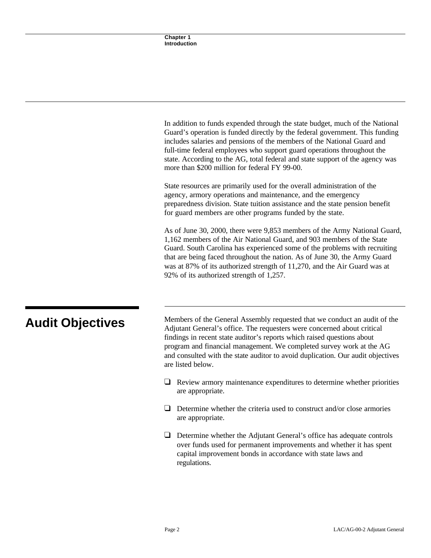In addition to funds expended through the state budget, much of the National Guard's operation is funded directly by the federal government. This funding includes salaries and pensions of the members of the National Guard and full-time federal employees who support guard operations throughout the state. According to the AG, total federal and state support of the agency was more than \$200 million for federal FY 99-00.

State resources are primarily used for the overall administration of the agency, armory operations and maintenance, and the emergency preparedness division. State tuition assistance and the state pension benefit for guard members are other programs funded by the state.

As of June 30, 2000, there were 9,853 members of the Army National Guard, 1,162 members of the Air National Guard, and 903 members of the State Guard. South Carolina has experienced some of the problems with recruiting that are being faced throughout the nation. As of June 30, the Army Guard was at 87% of its authorized strength of 11,270, and the Air Guard was at 92% of its authorized strength of 1,257.

**Audit Objectives** Members of the General Assembly requested that we conduct an audit of the Adjustant General's office. The requesters were concerned shout critical Adjutant General's office. The requesters were concerned about critical findings in recent state auditor's reports which raised questions about program and financial management. We completed survey work at the AG and consulted with the state auditor to avoid duplication. Our audit objectives are listed below.

- $\Box$  Review armory maintenance expenditures to determine whether priorities are appropriate.
- $\Box$  Determine whether the criteria used to construct and/or close armories are appropriate.
- $\Box$  Determine whether the Adjutant General's office has adequate controls over funds used for permanent improvements and whether it has spent capital improvement bonds in accordance with state laws and regulations.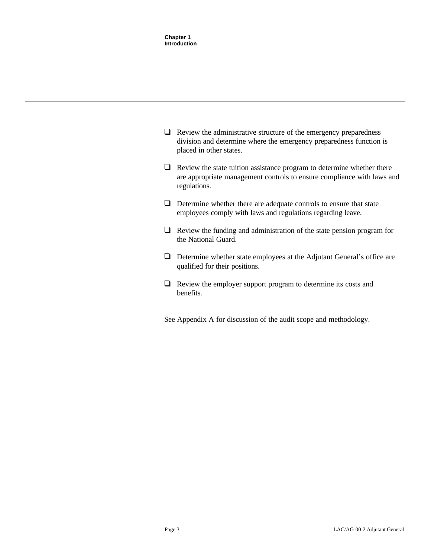| $\Box$ Review the administrative structure of the emergency preparedness |
|--------------------------------------------------------------------------|
| division and determine where the emergency preparedness function is      |
| placed in other states.                                                  |

- $\Box$  Review the state tuition assistance program to determine whether there are appropriate management controls to ensure compliance with laws and regulations.
- $\Box$  Determine whether there are adequate controls to ensure that state employees comply with laws and regulations regarding leave.
- $\Box$  Review the funding and administration of the state pension program for the National Guard.
- $\Box$  Determine whether state employees at the Adjutant General's office are qualified for their positions.
- $\Box$  Review the employer support program to determine its costs and benefits.
- See Appendix A for discussion of the audit scope and methodology.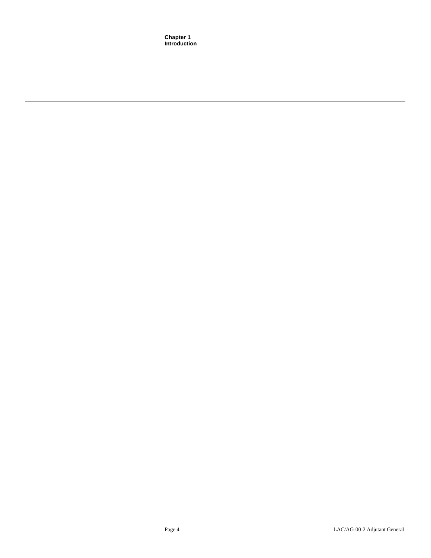**Chapter 1 Introduction**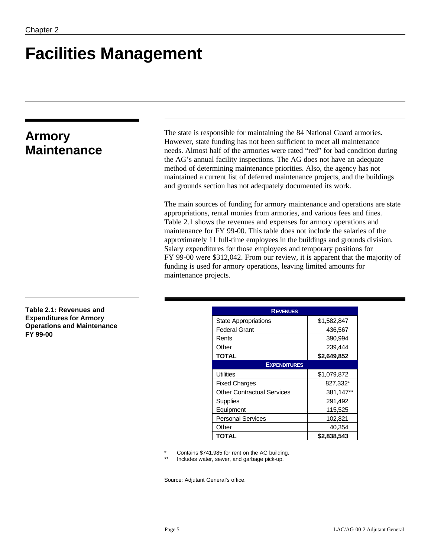# **Facilities Management**

# **Armory Maintenance**

The state is responsible for maintaining the 84 National Guard armories. However, state funding has not been sufficient to meet all maintenance needs. Almost half of the armories were rated "red" for bad condition during the AG's annual facility inspections. The AG does not have an adequate method of determining maintenance priorities. Also, the agency has not maintained a current list of deferred maintenance projects, and the buildings and grounds section has not adequately documented its work.

The main sources of funding for armory maintenance and operations are state appropriations, rental monies from armories, and various fees and fines. Table 2.1 shows the revenues and expenses for armory operations and maintenance for FY 99-00. This table does not include the salaries of the approximately 11 full-time employees in the buildings and grounds division. Salary expenditures for those employees and temporary positions for FY 99-00 were \$312,042. From our review, it is apparent that the majority of funding is used for armory operations, leaving limited amounts for maintenance projects.

**Table 2.1: Revenues and Expenditures for Armory Operations and Maintenance FY 99-00**

| <b>REVENUES</b>                   |             |  |
|-----------------------------------|-------------|--|
| <b>State Appropriations</b>       | \$1,582,847 |  |
| <b>Federal Grant</b>              | 436,567     |  |
| Rents                             | 390,994     |  |
| Other                             | 239,444     |  |
| <b>TOTAL</b>                      | \$2,649,852 |  |
| <b>EXPENDITURES</b>               |             |  |
| <b>Utilities</b>                  | \$1,079,872 |  |
| <b>Fixed Charges</b>              | 827,332*    |  |
| <b>Other Contractual Services</b> | 381,147**   |  |
| Supplies                          | 291,492     |  |
| Equipment                         | 115,525     |  |
| <b>Personal Services</b>          | 102,821     |  |
| Other                             | 40,354      |  |
| <b>TOTAL</b>                      | \$2,838,543 |  |

Contains \$741,985 for rent on the AG building.

Includes water, sewer, and garbage pick-up.

Source: Adjutant General's office.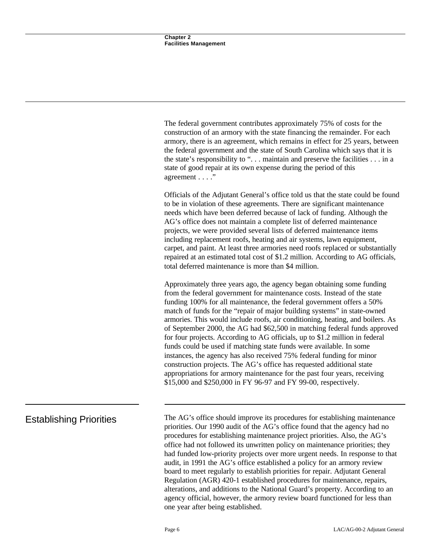The federal government contributes approximately 75% of costs for the construction of an armory with the state financing the remainder. For each armory, there is an agreement, which remains in effect for 25 years, between the federal government and the state of South Carolina which says that it is the state's responsibility to ". . . maintain and preserve the facilities . . . in a state of good repair at its own expense during the period of this agreement . . . ."

Officials of the Adjutant General's office told us that the state could be found to be in violation of these agreements. There are significant maintenance needs which have been deferred because of lack of funding. Although the AG's office does not maintain a complete list of deferred maintenance projects, we were provided several lists of deferred maintenance items including replacement roofs, heating and air systems, lawn equipment, carpet, and paint. At least three armories need roofs replaced or substantially repaired at an estimated total cost of \$1.2 million. According to AG officials, total deferred maintenance is more than \$4 million.

Approximately three years ago, the agency began obtaining some funding from the federal government for maintenance costs. Instead of the state funding 100% for all maintenance, the federal government offers a 50% match of funds for the "repair of major building systems" in state-owned armories. This would include roofs, air conditioning, heating, and boilers. As of September 2000, the AG had \$62,500 in matching federal funds approved for four projects. According to AG officials, up to \$1.2 million in federal funds could be used if matching state funds were available. In some instances, the agency has also received 75% federal funding for minor construction projects. The AG's office has requested additional state appropriations for armory maintenance for the past four years, receiving \$15,000 and \$250,000 in FY 96-97 and FY 99-00, respectively.

Establishing Priorities The AG's office should improve its procedures for establishing maintenance priorities. Our 1990 audit of the AG's office found that the agency had no procedures for establishing maintenance project priorities. Also, the AG's office had not followed its unwritten policy on maintenance priorities; they had funded low-priority projects over more urgent needs. In response to that audit, in 1991 the AG's office established a policy for an armory review board to meet regularly to establish priorities for repair. Adjutant General Regulation (AGR) 420-1 established procedures for maintenance, repairs, alterations, and additions to the National Guard's property. According to an agency official, however, the armory review board functioned for less than one year after being established.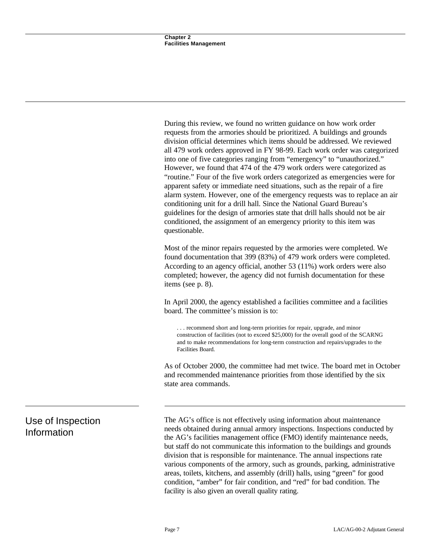During this review, we found no written guidance on how work order requests from the armories should be prioritized. A buildings and grounds division official determines which items should be addressed. We reviewed all 479 work orders approved in FY 98-99. Each work order was categorized into one of five categories ranging from "emergency" to "unauthorized." However, we found that 474 of the 479 work orders were categorized as "routine." Four of the five work orders categorized as emergencies were for apparent safety or immediate need situations, such as the repair of a fire alarm system. However, one of the emergency requests was to replace an air conditioning unit for a drill hall. Since the National Guard Bureau's guidelines for the design of armories state that drill halls should not be air conditioned, the assignment of an emergency priority to this item was questionable.

Most of the minor repairs requested by the armories were completed. We found documentation that 399 (83%) of 479 work orders were completed. According to an agency official, another 53 (11%) work orders were also completed; however, the agency did not furnish documentation for these items (see p. 8).

In April 2000, the agency established a facilities committee and a facilities board. The committee's mission is to:

. . . recommend short and long-term priorities for repair, upgrade, and minor construction of facilities (not to exceed \$25,000) for the overall good of the SCARNG and to make recommendations for long-term construction and repairs/upgrades to the Facilities Board.

As of October 2000, the committee had met twice. The board met in October and recommended maintenance priorities from those identified by the six state area commands.

The AG's office is not effectively using information about maintenance needs obtained during annual armory inspections. Inspections conducted by the AG's facilities management office (FMO) identify maintenance needs, but staff do not communicate this information to the buildings and grounds division that is responsible for maintenance. The annual inspections rate various components of the armory, such as grounds, parking, administrative areas, toilets, kitchens, and assembly (drill) halls, using "green" for good condition, "amber" for fair condition, and "red" for bad condition. The facility is also given an overall quality rating.

# Use of Inspection Information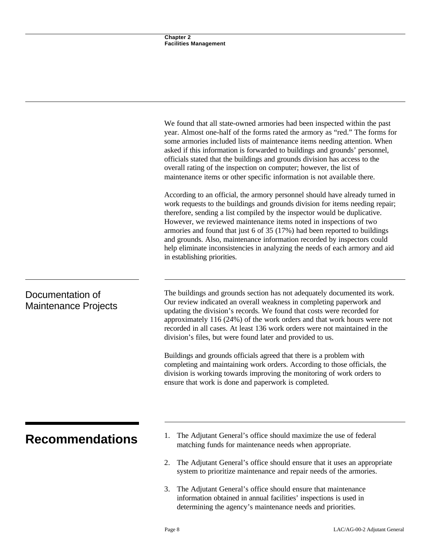|                                                 | We found that all state-owned armories had been inspected within the past<br>year. Almost one-half of the forms rated the armory as "red." The forms for<br>some armories included lists of maintenance items needing attention. When                                                                                                                                                                                                                                                                                                                                                                                                                                                                                                    |
|-------------------------------------------------|------------------------------------------------------------------------------------------------------------------------------------------------------------------------------------------------------------------------------------------------------------------------------------------------------------------------------------------------------------------------------------------------------------------------------------------------------------------------------------------------------------------------------------------------------------------------------------------------------------------------------------------------------------------------------------------------------------------------------------------|
|                                                 | asked if this information is forwarded to buildings and grounds' personnel,<br>officials stated that the buildings and grounds division has access to the<br>overall rating of the inspection on computer; however, the list of<br>maintenance items or other specific information is not available there.                                                                                                                                                                                                                                                                                                                                                                                                                               |
|                                                 | According to an official, the armory personnel should have already turned in<br>work requests to the buildings and grounds division for items needing repair;<br>therefore, sending a list compiled by the inspector would be duplicative.<br>However, we reviewed maintenance items noted in inspections of two<br>armories and found that just 6 of 35 (17%) had been reported to buildings<br>and grounds. Also, maintenance information recorded by inspectors could<br>help eliminate inconsistencies in analyzing the needs of each armory and aid<br>in establishing priorities.                                                                                                                                                  |
| Documentation of<br><b>Maintenance Projects</b> | The buildings and grounds section has not adequately documented its work.<br>Our review indicated an overall weakness in completing paperwork and<br>updating the division's records. We found that costs were recorded for<br>approximately 116 (24%) of the work orders and that work hours were not<br>recorded in all cases. At least 136 work orders were not maintained in the<br>division's files, but were found later and provided to us.<br>Buildings and grounds officials agreed that there is a problem with<br>completing and maintaining work orders. According to those officials, the<br>division is working towards improving the monitoring of work orders to<br>ensure that work is done and paperwork is completed. |
|                                                 | The Adjutant General's office should maximize the use of federal                                                                                                                                                                                                                                                                                                                                                                                                                                                                                                                                                                                                                                                                         |
| <b>Recommendations</b>                          | matching funds for maintenance needs when appropriate.                                                                                                                                                                                                                                                                                                                                                                                                                                                                                                                                                                                                                                                                                   |
|                                                 | The Adjutant General's office should ensure that it uses an appropriate<br>2.<br>system to prioritize maintenance and repair needs of the armories.                                                                                                                                                                                                                                                                                                                                                                                                                                                                                                                                                                                      |
|                                                 | The Adjutant General's office should ensure that maintenance<br>3.<br>information obtained in annual facilities' inspections is used in                                                                                                                                                                                                                                                                                                                                                                                                                                                                                                                                                                                                  |

determining the agency's maintenance needs and priorities.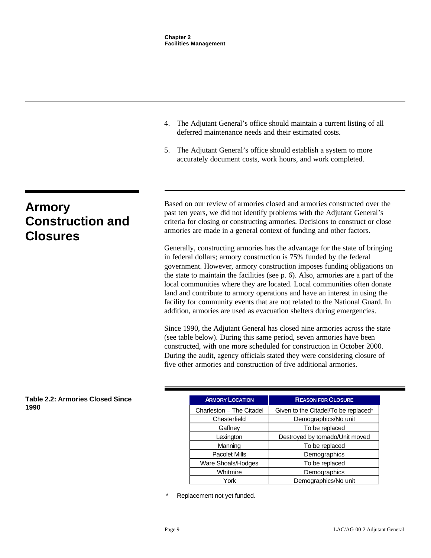- 4. The Adjutant General's office should maintain a current listing of all deferred maintenance needs and their estimated costs.
- 5. The Adjutant General's office should establish a system to more accurately document costs, work hours, and work completed.

# **Armory Construction and Closures**

Based on our review of armories closed and armories constructed over the past ten years, we did not identify problems with the Adjutant General's criteria for closing or constructing armories. Decisions to construct or close armories are made in a general context of funding and other factors.

Generally, constructing armories has the advantage for the state of bringing in federal dollars; armory construction is 75% funded by the federal government. However, armory construction imposes funding obligations on the state to maintain the facilities (see p. 6). Also, armories are a part of the local communities where they are located. Local communities often donate land and contribute to armory operations and have an interest in using the facility for community events that are not related to the National Guard. In addition, armories are used as evacuation shelters during emergencies.

Since 1990, the Adjutant General has closed nine armories across the state (see table below). During this same period, seven armories have been constructed, with one more scheduled for construction in October 2000. During the audit, agency officials stated they were considering closure of five other armories and construction of five additional armories.

### **Table 2.2: Armories Closed Since 1990**

| <b>ARMORY LOCATION</b>   | <b>REASON FOR CLOSURE</b>            |
|--------------------------|--------------------------------------|
| Charleston - The Citadel | Given to the Citadel/To be replaced* |
| Chesterfield             | Demographics/No unit                 |
| Gaffney                  | To be replaced                       |
| Lexington                | Destroyed by tornado/Unit moved      |
| Manning                  | To be replaced                       |
| <b>Pacolet Mills</b>     | Demographics                         |
| Ware Shoals/Hodges       | To be replaced                       |
| Whitmire                 | Demographics                         |
| York                     | Demographics/No unit                 |

Replacement not yet funded.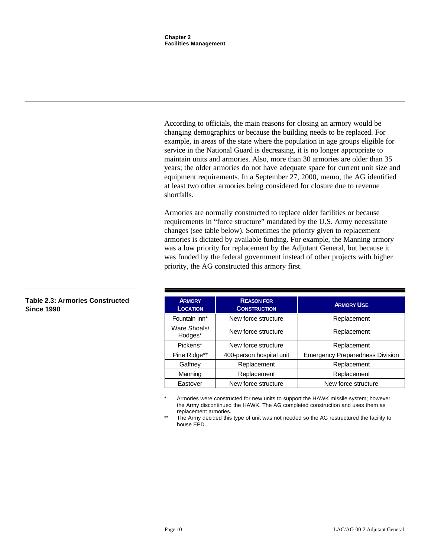According to officials, the main reasons for closing an armory would be changing demographics or because the building needs to be replaced. For example, in areas of the state where the population in age groups eligible for service in the National Guard is decreasing, it is no longer appropriate to maintain units and armories. Also, more than 30 armories are older than 35 years; the older armories do not have adequate space for current unit size and equipment requirements. In a September 27, 2000, memo, the AG identified at least two other armories being considered for closure due to revenue shortfalls.

Armories are normally constructed to replace older facilities or because requirements in "force structure" mandated by the U.S. Army necessitate changes (see table below). Sometimes the priority given to replacement armories is dictated by available funding. For example, the Manning armory was a low priority for replacement by the Adjutant General, but because it was funded by the federal government instead of other projects with higher priority, the AG constructed this armory first.

| <b>ARMORY</b><br><b>LOCATION</b> | <b>REASON FOR</b><br><b>CONSTRUCTION</b> | <b>ARMORY USE</b>                      |
|----------------------------------|------------------------------------------|----------------------------------------|
| Fountain Inn*                    | New force structure                      | Replacement                            |
| Ware Shoals/<br>Hodges*          | New force structure                      | Replacement                            |
| Pickens*                         | New force structure                      | Replacement                            |
| Pine Ridge**                     | 400-person hospital unit                 | <b>Emergency Preparedness Division</b> |
| Gaffney                          | Replacement                              | Replacement                            |
| Manning                          | Replacement                              | Replacement                            |
| Eastover                         | New force structure                      | New force structure                    |

Armories were constructed for new units to support the HAWK missile system; however, the Army discontinued the HAWK. The AG completed construction and uses them as replacement armories.

The Army decided this type of unit was not needed so the AG restructured the facility to house EPD.

## **Table 2.3: Armories Constructed Since 1990**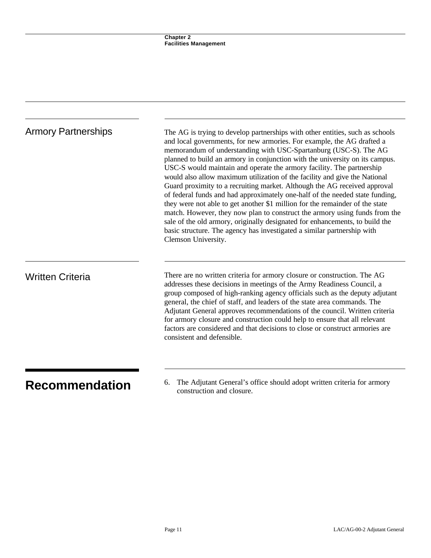| <b>Armory Partnerships</b> | The AG is trying to develop partnerships with other entities, such as schools<br>and local governments, for new armories. For example, the AG drafted a<br>memorandum of understanding with USC-Spartanburg (USC-S). The AG<br>planned to build an armory in conjunction with the university on its campus.<br>USC-S would maintain and operate the armory facility. The partnership<br>would also allow maximum utilization of the facility and give the National<br>Guard proximity to a recruiting market. Although the AG received approval<br>of federal funds and had approximately one-half of the needed state funding,<br>they were not able to get another \$1 million for the remainder of the state<br>match. However, they now plan to construct the armory using funds from the<br>sale of the old armory, originally designated for enhancements, to build the<br>basic structure. The agency has investigated a similar partnership with<br>Clemson University. |
|----------------------------|---------------------------------------------------------------------------------------------------------------------------------------------------------------------------------------------------------------------------------------------------------------------------------------------------------------------------------------------------------------------------------------------------------------------------------------------------------------------------------------------------------------------------------------------------------------------------------------------------------------------------------------------------------------------------------------------------------------------------------------------------------------------------------------------------------------------------------------------------------------------------------------------------------------------------------------------------------------------------------|
| <b>Written Criteria</b>    | There are no written criteria for armory closure or construction. The AG<br>addresses these decisions in meetings of the Army Readiness Council, a<br>group composed of high-ranking agency officials such as the deputy adjutant<br>general, the chief of staff, and leaders of the state area commands. The<br>Adjutant General approves recommendations of the council. Written criteria<br>for armory closure and construction could help to ensure that all relevant<br>factors are considered and that decisions to close or construct armories are<br>consistent and defensible.                                                                                                                                                                                                                                                                                                                                                                                         |

**Recommendation** 6. The Adjutant General solute should adopt written criteria for armory construction and closure.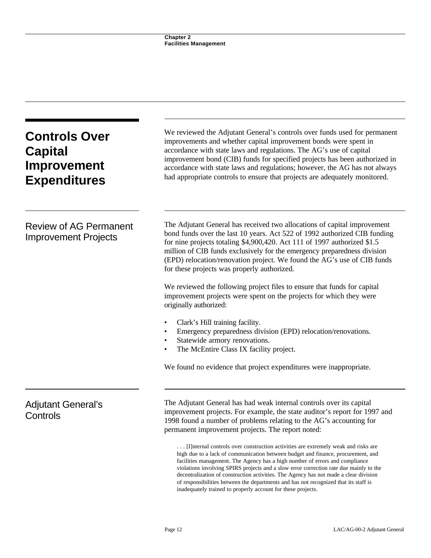| <b>Controls Over</b><br><b>Capital</b><br><b>Improvement</b><br><b>Expenditures</b> | We reviewed the Adjutant General's controls over funds used for permanent<br>improvements and whether capital improvement bonds were spent in<br>accordance with state laws and regulations. The AG's use of capital<br>improvement bond (CIB) funds for specified projects has been authorized in<br>accordance with state laws and regulations; however, the AG has not always<br>had appropriate controls to ensure that projects are adequately monitored.                                                                                                                             |  |
|-------------------------------------------------------------------------------------|--------------------------------------------------------------------------------------------------------------------------------------------------------------------------------------------------------------------------------------------------------------------------------------------------------------------------------------------------------------------------------------------------------------------------------------------------------------------------------------------------------------------------------------------------------------------------------------------|--|
| <b>Review of AG Permanent</b><br><b>Improvement Projects</b>                        | The Adjutant General has received two allocations of capital improvement<br>bond funds over the last 10 years. Act 522 of 1992 authorized CIB funding<br>for nine projects totaling \$4,900,420. Act 111 of 1997 authorized \$1.5<br>million of CIB funds exclusively for the emergency preparedness division<br>(EPD) relocation/renovation project. We found the AG's use of CIB funds<br>for these projects was properly authorized.<br>We reviewed the following project files to ensure that funds for capital<br>improvement projects were spent on the projects for which they were |  |
|                                                                                     | originally authorized:<br>Clark's Hill training facility.<br>Emergency preparedness division (EPD) relocation/renovations.<br>Statewide armory renovations.<br>$\bullet$<br>The McEntire Class IX facility project.<br>We found no evidence that project expenditures were inappropriate.                                                                                                                                                                                                                                                                                                  |  |
| <b>Adjutant General's</b><br>Controls                                               | The Adjutant General has had weak internal controls over its capital<br>improvement projects. For example, the state auditor's report for 1997 and<br>1998 found a number of problems relating to the AG's accounting for<br>permanent improvement projects. The report noted:                                                                                                                                                                                                                                                                                                             |  |
|                                                                                     | [I]nternal controls over construction activities are extremely weak and risks are<br>high due to a lack of communication between budget and finance, procurement, and<br>facilities management. The Agency has a high number of errors and compliance<br>violations involving SPIRS projects and a slow error correction rate due mainly to the<br>decentralization of construction activities. The Agency has not made a clear division                                                                                                                                                   |  |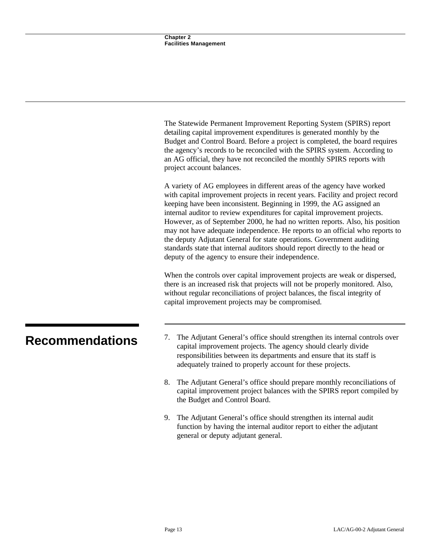|                        | The Statewide Permanent Improvement Reporting System (SPIRS) report<br>detailing capital improvement expenditures is generated monthly by the<br>Budget and Control Board. Before a project is completed, the board requires<br>the agency's records to be reconciled with the SPIRS system. According to<br>an AG official, they have not reconciled the monthly SPIRS reports with<br>project account balances.                                                                                                                                                                                                                                                                             |
|------------------------|-----------------------------------------------------------------------------------------------------------------------------------------------------------------------------------------------------------------------------------------------------------------------------------------------------------------------------------------------------------------------------------------------------------------------------------------------------------------------------------------------------------------------------------------------------------------------------------------------------------------------------------------------------------------------------------------------|
|                        | A variety of AG employees in different areas of the agency have worked<br>with capital improvement projects in recent years. Facility and project record<br>keeping have been inconsistent. Beginning in 1999, the AG assigned an<br>internal auditor to review expenditures for capital improvement projects.<br>However, as of September 2000, he had no written reports. Also, his position<br>may not have adequate independence. He reports to an official who reports to<br>the deputy Adjutant General for state operations. Government auditing<br>standards state that internal auditors should report directly to the head or<br>deputy of the agency to ensure their independence. |
|                        | When the controls over capital improvement projects are weak or dispersed,<br>there is an increased risk that projects will not be properly monitored. Also,<br>without regular reconciliations of project balances, the fiscal integrity of<br>capital improvement projects may be compromised.                                                                                                                                                                                                                                                                                                                                                                                              |
| <b>Recommendations</b> | The Adjutant General's office should strengthen its internal controls over<br>7.<br>capital improvement projects. The agency should clearly divide<br>responsibilities between its departments and ensure that its staff is<br>adequately trained to properly account for these projects.                                                                                                                                                                                                                                                                                                                                                                                                     |
|                        | The Adjutant General's office should prepare monthly reconciliations of<br>8.<br>capital improvement project balances with the SPIRS report compiled by<br>the Budget and Control Board.                                                                                                                                                                                                                                                                                                                                                                                                                                                                                                      |
|                        | The Adjutant General's office should strengthen its internal audit<br>9.                                                                                                                                                                                                                                                                                                                                                                                                                                                                                                                                                                                                                      |

general or deputy adjutant general.

function by having the internal auditor report to either the adjutant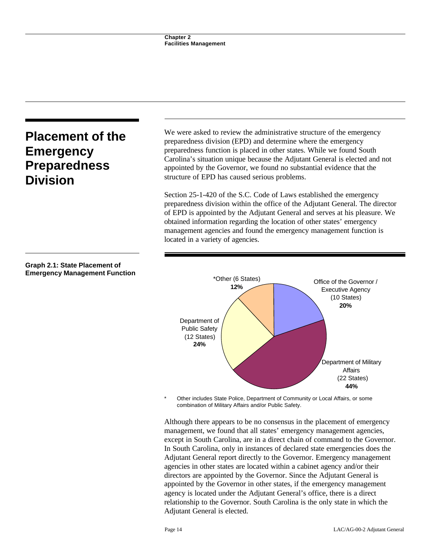# **Placement of the Emergency Preparedness Division**

We were asked to review the administrative structure of the emergency preparedness division (EPD) and determine where the emergency preparedness function is placed in other states. While we found South Carolina's situation unique because the Adjutant General is elected and not appointed by the Governor, we found no substantial evidence that the structure of EPD has caused serious problems.

Section 25-1-420 of the S.C. Code of Laws established the emergency preparedness division within the office of the Adjutant General. The director of EPD is appointed by the Adjutant General and serves at his pleasure. We obtained information regarding the location of other states' emergency management agencies and found the emergency management function is located in a variety of agencies.



Other includes State Police, Department of Community or Local Affairs, or some combination of Military Affairs and/or Public Safety.

Although there appears to be no consensus in the placement of emergency management, we found that all states' emergency management agencies, except in South Carolina, are in a direct chain of command to the Governor. In South Carolina, only in instances of declared state emergencies does the Adjutant General report directly to the Governor. Emergency management agencies in other states are located within a cabinet agency and/or their directors are appointed by the Governor. Since the Adjutant General is appointed by the Governor in other states, if the emergency management agency is located under the Adjutant General's office, there is a direct relationship to the Governor. South Carolina is the only state in which the Adjutant General is elected.

## **Graph 2.1: State Placement of Emergency Management Function**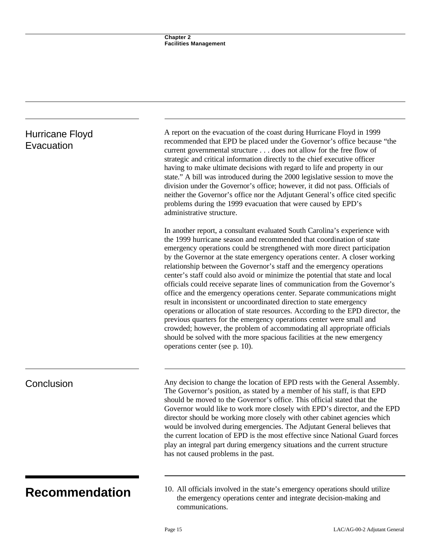| Hurricane Floyd<br>Evacuation | A report on the evacuation of the coast during Hurricane Floyd in 1999<br>recommended that EPD be placed under the Governor's office because "the<br>current governmental structure does not allow for the free flow of<br>strategic and critical information directly to the chief executive officer<br>having to make ultimate decisions with regard to life and property in our<br>state." A bill was introduced during the 2000 legislative session to move the<br>division under the Governor's office; however, it did not pass. Officials of<br>neither the Governor's office nor the Adjutant General's office cited specific<br>problems during the 1999 evacuation that were caused by EPD's<br>administrative structure.                                                                                                                                                                                                                                                                                                                               |
|-------------------------------|-------------------------------------------------------------------------------------------------------------------------------------------------------------------------------------------------------------------------------------------------------------------------------------------------------------------------------------------------------------------------------------------------------------------------------------------------------------------------------------------------------------------------------------------------------------------------------------------------------------------------------------------------------------------------------------------------------------------------------------------------------------------------------------------------------------------------------------------------------------------------------------------------------------------------------------------------------------------------------------------------------------------------------------------------------------------|
|                               | In another report, a consultant evaluated South Carolina's experience with<br>the 1999 hurricane season and recommended that coordination of state<br>emergency operations could be strengthened with more direct participation<br>by the Governor at the state emergency operations center. A closer working<br>relationship between the Governor's staff and the emergency operations<br>center's staff could also avoid or minimize the potential that state and local<br>officials could receive separate lines of communication from the Governor's<br>office and the emergency operations center. Separate communications might<br>result in inconsistent or uncoordinated direction to state emergency<br>operations or allocation of state resources. According to the EPD director, the<br>previous quarters for the emergency operations center were small and<br>crowded; however, the problem of accommodating all appropriate officials<br>should be solved with the more spacious facilities at the new emergency<br>operations center (see p. 10). |
| Conclusion                    | Any decision to change the location of EPD rests with the General Assembly.<br>The Governor's position, as stated by a member of his staff, is that EPD<br>should be moved to the Governor's office. This official stated that the<br>Governor would like to work more closely with EPD's director, and the EPD<br>director should be working more closely with other cabinet agencies which<br>would be involved during emergencies. The Adjutant General believes that<br>the current location of EPD is the most effective since National Guard forces<br>play an integral part during emergency situations and the current structure<br>has not caused problems in the past.                                                                                                                                                                                                                                                                                                                                                                                  |
| <b>Recommendation</b>         | 10. All officials involved in the state's emergency operations should utilize<br>the emergency operations center and integrate decision-making and                                                                                                                                                                                                                                                                                                                                                                                                                                                                                                                                                                                                                                                                                                                                                                                                                                                                                                                |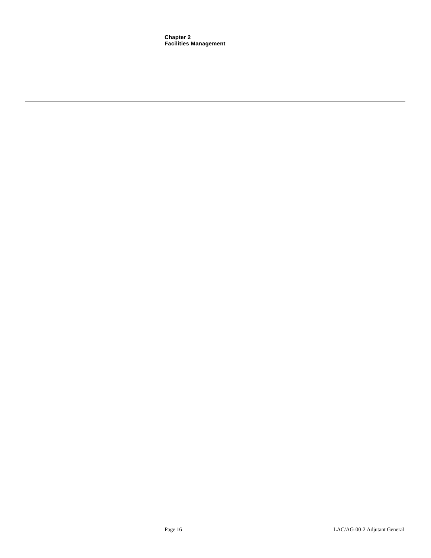**Chapter 2 Facilities Management**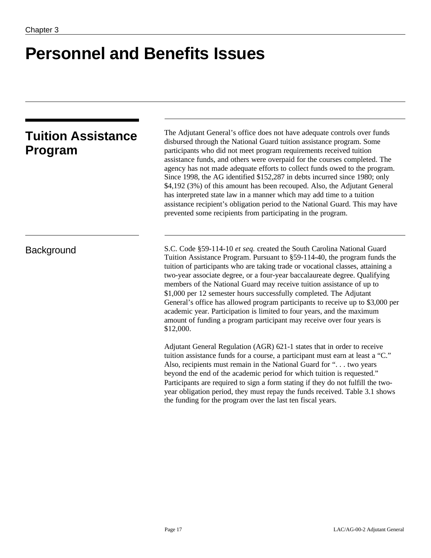# **Personnel and Benefits Issues**

|         | <b>Tuition Assistance</b> |
|---------|---------------------------|
| Program |                           |

The Adjutant General's office does not have adequate controls over funds disbursed through the National Guard tuition assistance program. Some participants who did not meet program requirements received tuition assistance funds, and others were overpaid for the courses completed. The agency has not made adequate efforts to collect funds owed to the program. Since 1998, the AG identified \$152,287 in debts incurred since 1980; only \$4,192 (3%) of this amount has been recouped. Also, the Adjutant General has interpreted state law in a manner which may add time to a tuition assistance recipient's obligation period to the National Guard. This may have prevented some recipients from participating in the program.

Background S.C. Code §59-114-10 *et seq.* created the South Carolina National Guard Tuition Assistance Program. Pursuant to §59-114-40, the program funds the tuition of participants who are taking trade or vocational classes, attaining a two-year associate degree, or a four-year baccalaureate degree. Qualifying members of the National Guard may receive tuition assistance of up to \$1,000 per 12 semester hours successfully completed. The Adjutant General's office has allowed program participants to receive up to \$3,000 per academic year. Participation is limited to four years, and the maximum amount of funding a program participant may receive over four years is \$12,000.

> Adjutant General Regulation (AGR) 621-1 states that in order to receive tuition assistance funds for a course, a participant must earn at least a "C." Also, recipients must remain in the National Guard for ". . . two years beyond the end of the academic period for which tuition is requested." Participants are required to sign a form stating if they do not fulfill the twoyear obligation period, they must repay the funds received. Table 3.1 shows the funding for the program over the last ten fiscal years.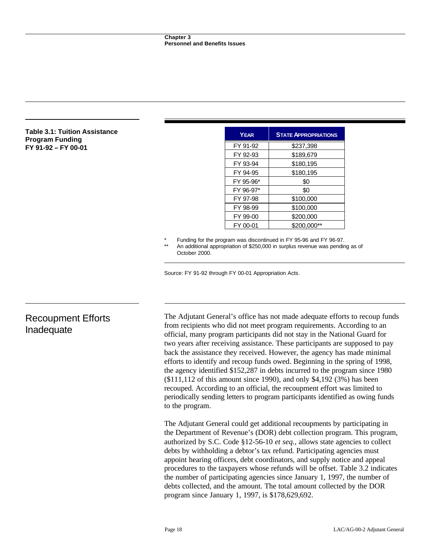#### **Table 3.1: Tuition Assistance Program Funding FY 91-92 – FY 00-01**

| <b>YEAR</b> | <b>STATE APPROPRIATIONS</b> |
|-------------|-----------------------------|
| FY 91-92    | \$237,398                   |
| FY 92-93    | \$189,679                   |
| FY 93-94    | \$180,195                   |
| FY 94-95    | \$180,195                   |
| FY 95-96*   | \$0                         |
| FY 96-97*   | \$0                         |
| FY 97-98    | \$100,000                   |
| FY 98-99    | \$100,000                   |
| FY 99-00    | \$200,000                   |
| FY 00-01    | \$200,000**                 |

Funding for the program was discontinued in FY 95-96 and FY 96-97.

An additional appropriation of \$250,000 in surplus revenue was pending as of October 2000.

Source: FY 91-92 through FY 00-01 Appropriation Acts.

# Recoupment Efforts Inadequate

The Adjutant General's office has not made adequate efforts to recoup funds from recipients who did not meet program requirements. According to an official, many program participants did not stay in the National Guard for two years after receiving assistance. These participants are supposed to pay back the assistance they received. However, the agency has made minimal efforts to identify and recoup funds owed. Beginning in the spring of 1998, the agency identified \$152,287 in debts incurred to the program since 1980 (\$111,112 of this amount since 1990), and only \$4,192 (3%) has been recouped. According to an official, the recoupment effort was limited to periodically sending letters to program participants identified as owing funds to the program.

The Adjutant General could get additional recoupments by participating in the Department of Revenue's (DOR) debt collection program. This program, authorized by S.C. Code §12-56-10 *et seq.*, allows state agencies to collect debts by withholding a debtor's tax refund. Participating agencies must appoint hearing officers, debt coordinators, and supply notice and appeal procedures to the taxpayers whose refunds will be offset. Table 3.2 indicates the number of participating agencies since January 1, 1997, the number of debts collected, and the amount. The total amount collected by the DOR program since January 1, 1997, is \$178,629,692.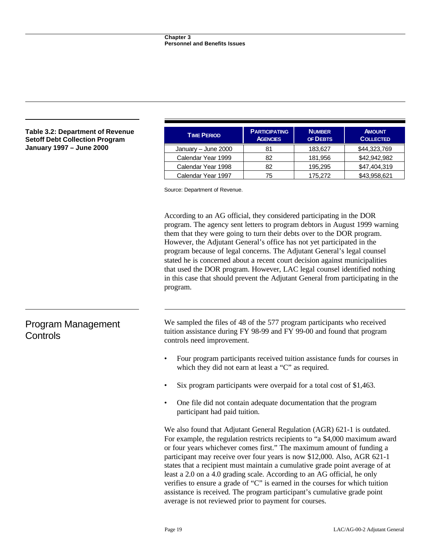| <b>Table 3.2: Department of Revenue</b><br><b>Setoff Debt Collection Program</b> | <b>TIME PERIOD</b>                                                                                      | <b>PARTICIPATING</b><br><b>AGENCIES</b>                                | <b>NUMBER</b><br>OF DEBTS | <b>AMOUNT</b><br><b>COLLECTED</b> |  |
|----------------------------------------------------------------------------------|---------------------------------------------------------------------------------------------------------|------------------------------------------------------------------------|---------------------------|-----------------------------------|--|
| January 1997 - June 2000                                                         | January - June 2000                                                                                     | 81                                                                     | 183,627                   | \$44,323,769                      |  |
|                                                                                  | Calendar Year 1999                                                                                      | 82                                                                     | 181,956                   | \$42,942,982                      |  |
|                                                                                  | Calendar Year 1998                                                                                      | 82                                                                     | 195,295                   | \$47,404,319                      |  |
|                                                                                  | Calendar Year 1997                                                                                      | 75                                                                     | 175.272                   | \$43,958,621                      |  |
|                                                                                  | Source: Department of Revenue.<br>According to an AG official, they considered participating in the DOR |                                                                        |                           |                                   |  |
|                                                                                  | program. The agency sent letters to program debtors in August 1999 warning                              |                                                                        |                           |                                   |  |
|                                                                                  |                                                                                                         | them that they were going to turn their debts over to the DOR program. |                           |                                   |  |
|                                                                                  |                                                                                                         | However, the Adjutant General's office has not yet participated in the |                           |                                   |  |

# Program Management **Controls**

We sampled the files of 48 of the 577 program participants who received tuition assistance during FY 98-99 and FY 99-00 and found that program controls need improvement.

program because of legal concerns. The Adjutant General's legal counsel stated he is concerned about a recent court decision against municipalities that used the DOR program. However, LAC legal counsel identified nothing in this case that should prevent the Adjutant General from participating in the

- Four program participants received tuition assistance funds for courses in which they did not earn at least a "C" as required.
- Six program participants were overpaid for a total cost of \$1,463.
- One file did not contain adequate documentation that the program participant had paid tuition.

We also found that Adjutant General Regulation (AGR) 621-1 is outdated. For example, the regulation restricts recipients to "a \$4,000 maximum award or four years whichever comes first." The maximum amount of funding a participant may receive over four years is now \$12,000. Also, AGR 621-1 states that a recipient must maintain a cumulative grade point average of at least a 2.0 on a 4.0 grading scale. According to an AG official, he only verifies to ensure a grade of "C" is earned in the courses for which tuition assistance is received. The program participant's cumulative grade point average is not reviewed prior to payment for courses.

program.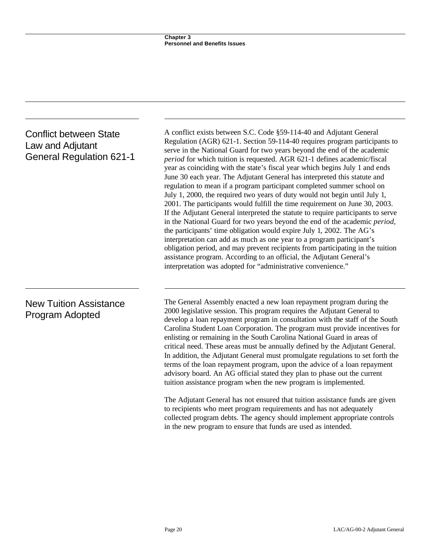# Conflict between State Law and Adjutant General Regulation 621-1

# A conflict exists between S.C. Code §59-114-40 and Adjutant General Regulation (AGR) 621-1. Section 59-114-40 requires program participants to serve in the National Guard for two years beyond the end of the academic *period* for which tuition is requested. AGR 621-1 defines academic/fiscal year as coinciding with the state's fiscal year which begins July 1 and ends June 30 each year. The Adjutant General has interpreted this statute and regulation to mean if a program participant completed summer school on July 1, 2000, the required two years of duty would not begin until July 1, 2001. The participants would fulfill the time requirement on June 30, 2003. If the Adjutant General interpreted the statute to require participants to serve in the National Guard for two years beyond the end of the academic *period*, the participants' time obligation would expire July 1, 2002. The AG's interpretation can add as much as one year to a program participant's obligation period, and may prevent recipients from participating in the tuition assistance program. According to an official, the Adjutant General's interpretation was adopted for "administrative convenience."

# New Tuition Assistance Program Adopted

The General Assembly enacted a new loan repayment program during the 2000 legislative session. This program requires the Adjutant General to develop a loan repayment program in consultation with the staff of the South Carolina Student Loan Corporation. The program must provide incentives for enlisting or remaining in the South Carolina National Guard in areas of critical need. These areas must be annually defined by the Adjutant General. In addition, the Adjutant General must promulgate regulations to set forth the terms of the loan repayment program, upon the advice of a loan repayment advisory board. An AG official stated they plan to phase out the current tuition assistance program when the new program is implemented.

The Adjutant General has not ensured that tuition assistance funds are given to recipients who meet program requirements and has not adequately collected program debts. The agency should implement appropriate controls in the new program to ensure that funds are used as intended.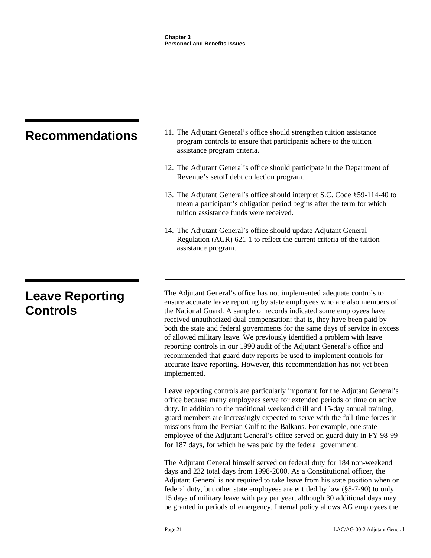| <b>Recommendations</b>                    | 11. The Adjutant General's office should strengthen tuition assistance<br>program controls to ensure that participants adhere to the tuition<br>assistance program criteria.                                                                                                                                                                                                                                                                                                                                                                                                                                                                                                                                            |
|-------------------------------------------|-------------------------------------------------------------------------------------------------------------------------------------------------------------------------------------------------------------------------------------------------------------------------------------------------------------------------------------------------------------------------------------------------------------------------------------------------------------------------------------------------------------------------------------------------------------------------------------------------------------------------------------------------------------------------------------------------------------------------|
|                                           | 12. The Adjutant General's office should participate in the Department of<br>Revenue's setoff debt collection program.                                                                                                                                                                                                                                                                                                                                                                                                                                                                                                                                                                                                  |
|                                           | 13. The Adjutant General's office should interpret S.C. Code §59-114-40 to<br>mean a participant's obligation period begins after the term for which<br>tuition assistance funds were received.                                                                                                                                                                                                                                                                                                                                                                                                                                                                                                                         |
|                                           | 14. The Adjutant General's office should update Adjutant General<br>Regulation (AGR) 621-1 to reflect the current criteria of the tuition<br>assistance program.                                                                                                                                                                                                                                                                                                                                                                                                                                                                                                                                                        |
|                                           |                                                                                                                                                                                                                                                                                                                                                                                                                                                                                                                                                                                                                                                                                                                         |
| <b>Leave Reporting</b><br><b>Controls</b> | The Adjutant General's office has not implemented adequate controls to<br>ensure accurate leave reporting by state employees who are also members of<br>the National Guard. A sample of records indicated some employees have<br>received unauthorized dual compensation; that is, they have been paid by<br>both the state and federal governments for the same days of service in excess<br>of allowed military leave. We previously identified a problem with leave<br>reporting controls in our 1990 audit of the Adjutant General's office and<br>recommended that guard duty reports be used to implement controls for<br>accurate leave reporting. However, this recommendation has not yet been<br>implemented. |
|                                           | Leave reporting controls are particularly important for the Adjutant General's<br>office because many employees serve for extended periods of time on active<br>duty. In addition to the traditional weekend drill and 15-day annual training,<br>guard members are increasingly expected to serve with the full-time forces in<br>missions from the Persian Gulf to the Balkans. For example, one state<br>employee of the Adjutant General's office served on guard duty in FY 98-99<br>for 187 days, for which he was paid by the federal government.                                                                                                                                                                |

The Adjutant General himself served on federal duty for 184 non-weekend days and 232 total days from 1998-2000. As a Constitutional officer, the Adjutant General is not required to take leave from his state position when on federal duty, but other state employees are entitled by law  $(\hat{88-7-90})$  to only 15 days of military leave with pay per year, although 30 additional days may be granted in periods of emergency. Internal policy allows AG employees the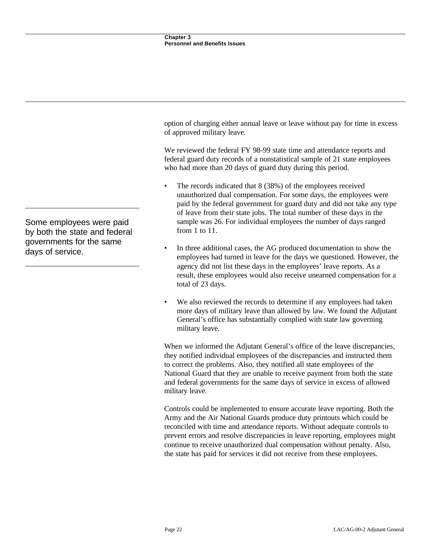option of charging either annual leave or leave without pay for time in excess of approved military leave.

We reviewed the federal FY 98-99 state time and attendance reports and federal guard duty records of a nonstatistical sample of 21 state employees who had more than 20 days of guard duty during this period.

- The records indicated that 8 (38%) of the employees received unauthorized dual compensation. For some days, the employees were paid by the federal government for guard duty and did not take any type of leave from their state jobs. The total number of these days in the sample was 26. For individual employees the number of days ranged from 1 to 11.
- In three additional cases, the AG produced documentation to show the employees had turned in leave for the days we questioned. However, the agency did not list these days in the employees' leave reports. As a result, these employees would also receive unearned compensation for a total of 23 days.
- We also reviewed the records to determine if any employees had taken more days of military leave than allowed by law. We found the Adjutant General's office has substantially complied with state law governing military leave.

When we informed the Adjutant General's office of the leave discrepancies, they notified individual employees of the discrepancies and instructed them to correct the problems. Also, they notified all state employees of the National Guard that they are unable to receive payment from both the state and federal governments for the same days of service in excess of allowed military leave.

Controls could be implemented to ensure accurate leave reporting. Both the Army and the Air National Guards produce duty printouts which could be reconciled with time and attendance reports. Without adequate controls to prevent errors and resolve discrepancies in leave reporting, employees might continue to receive unauthorized dual compensation without penalty. Also, the state has paid for services it did not receive from these employees.

Some employees were paid by both the state and federal governments for the same days of service.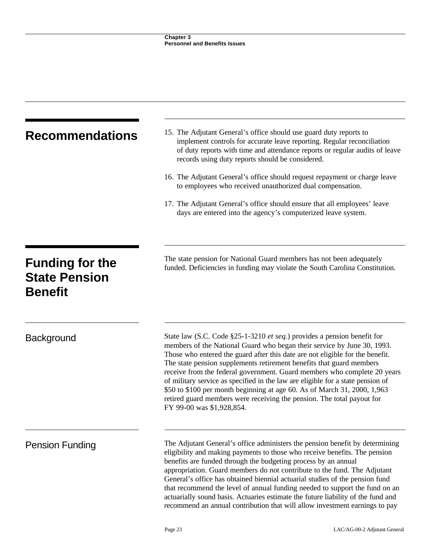| <b>Recommendations</b>                                           | 15. The Adjutant General's office should use guard duty reports to<br>implement controls for accurate leave reporting. Regular reconciliation<br>of duty reports with time and attendance reports or regular audits of leave<br>records using duty reports should be considered.                                                                                                                                                                                                                                                                                                                                                                                      |  |  |
|------------------------------------------------------------------|-----------------------------------------------------------------------------------------------------------------------------------------------------------------------------------------------------------------------------------------------------------------------------------------------------------------------------------------------------------------------------------------------------------------------------------------------------------------------------------------------------------------------------------------------------------------------------------------------------------------------------------------------------------------------|--|--|
|                                                                  | 16. The Adjutant General's office should request repayment or charge leave<br>to employees who received unauthorized dual compensation.                                                                                                                                                                                                                                                                                                                                                                                                                                                                                                                               |  |  |
|                                                                  | 17. The Adjutant General's office should ensure that all employees' leave<br>days are entered into the agency's computerized leave system.                                                                                                                                                                                                                                                                                                                                                                                                                                                                                                                            |  |  |
| <b>Funding for the</b><br><b>State Pension</b><br><b>Benefit</b> | The state pension for National Guard members has not been adequately<br>funded. Deficiencies in funding may violate the South Carolina Constitution.                                                                                                                                                                                                                                                                                                                                                                                                                                                                                                                  |  |  |
| <b>Background</b>                                                | State law (S.C. Code §25-1-3210 <i>et seq.</i> ) provides a pension benefit for<br>members of the National Guard who began their service by June 30, 1993.<br>Those who entered the guard after this date are not eligible for the benefit.<br>The state pension supplements retirement benefits that guard members<br>receive from the federal government. Guard members who complete 20 years<br>of military service as specified in the law are eligible for a state pension of<br>\$50 to \$100 per month beginning at age 60. As of March 31, 2000, 1,963<br>retired guard members were receiving the pension. The total payout for<br>FY 99-00 was \$1,928,854. |  |  |
| <b>Pension Funding</b>                                           | The Adjutant General's office administers the pension benefit by determining<br>eligibility and making payments to those who receive benefits. The pension<br>benefits are funded through the budgeting process by an annual<br>appropriation. Guard members do not contribute to the fund. The Adjutant<br>General's office has obtained biennial actuarial studies of the pension fund<br>that recommend the level of annual funding needed to support the fund on an<br>actuarially sound basis. Actuaries estimate the future liability of the fund and<br>recommend an annual contribution that will allow investment earnings to pay                            |  |  |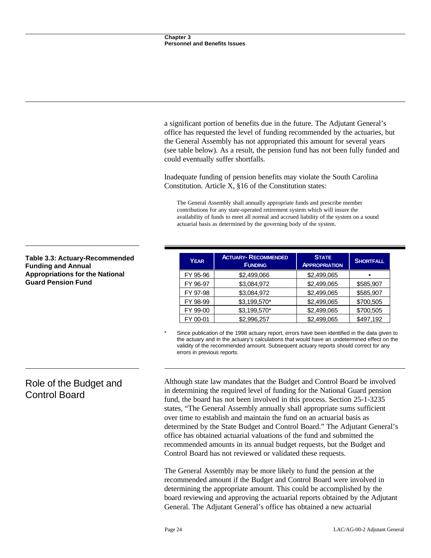a significant portion of benefits due in the future. The Adjutant General's office has requested the level of funding recommended by the actuaries, but the General Assembly has not appropriated this amount for several years (see table below). As a result, the pension fund has not been fully funded and could eventually suffer shortfalls.

Inadequate funding of pension benefits may violate the South Carolina Constitution. Article X, §16 of the Constitution states:

The General Assembly shall annually appropriate funds and prescribe member contributions for any state-operated retirement system which will insure the availability of funds to meet all normal and accrued liability of the system on a sound actuarial basis as determined by the governing body of the system.

| <b>YEAR</b> | <b>ACTUARY- RECOMMENDED</b><br><b>FUNDING</b> | <b>STATE</b><br><b>APPROPRIATION</b> | <b>SHORTFALL</b> |
|-------------|-----------------------------------------------|--------------------------------------|------------------|
| FY 95-96    | \$2,499,066                                   | \$2,499,065                          |                  |
| FY 96-97    | \$3,084,972                                   | \$2,499,065                          | \$585,907        |
| FY 97-98    | \$3,084,972                                   | \$2,499,065                          | \$585,907        |
| FY 98-99    | \$3,199,570*                                  | \$2,499,065                          | \$700,505        |
| FY 99-00    | \$3,199,570*                                  | \$2,499,065                          | \$700,505        |
| FY 00-01    | \$2,996,257                                   | \$2,499,065                          | \$497,192        |

Since publication of the 1998 actuary report, errors have been identified in the data given to the actuary and in the actuary's calculations that would have an undetermined effect on the validity of the recommended amount. Subsequent actuary reports should correct for any errors in previous reports.

Although state law mandates that the Budget and Control Board be involved in determining the required level of funding for the National Guard pension fund, the board has not been involved in this process. Section 25-1-3235 states, "The General Assembly annually shall appropriate sums sufficient over time to establish and maintain the fund on an actuarial basis as determined by the State Budget and Control Board." The Adjutant General's office has obtained actuarial valuations of the fund and submitted the recommended amounts in its annual budget requests, but the Budget and Control Board has not reviewed or validated these requests.

The General Assembly may be more likely to fund the pension at the recommended amount if the Budget and Control Board were involved in determining the appropriate amount. This could be accomplished by the board reviewing and approving the actuarial reports obtained by the Adjutant General. The Adjutant General's office has obtained a new actuarial

### **Table 3.3: Actuary-Recommended Funding and Annual Appropriations for the National Guard Pension Fund**

# Role of the Budget and Control Board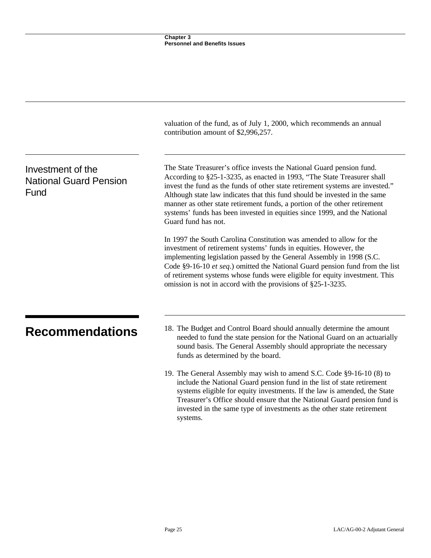|                                                            | valuation of the fund, as of July 1, 2000, which recommends an annual<br>contribution amount of \$2,996,257.                                                                                                                                                                                                                                                                                                                                                                                     |  |  |
|------------------------------------------------------------|--------------------------------------------------------------------------------------------------------------------------------------------------------------------------------------------------------------------------------------------------------------------------------------------------------------------------------------------------------------------------------------------------------------------------------------------------------------------------------------------------|--|--|
| Investment of the<br><b>National Guard Pension</b><br>Fund | The State Treasurer's office invests the National Guard pension fund.<br>According to §25-1-3235, as enacted in 1993, "The State Treasurer shall<br>invest the fund as the funds of other state retirement systems are invested."<br>Although state law indicates that this fund should be invested in the same<br>manner as other state retirement funds, a portion of the other retirement<br>systems' funds has been invested in equities since 1999, and the National<br>Guard fund has not. |  |  |
|                                                            | In 1997 the South Carolina Constitution was amended to allow for the<br>investment of retirement systems' funds in equities. However, the<br>implementing legislation passed by the General Assembly in 1998 (S.C.<br>Code §9-16-10 et seq.) omitted the National Guard pension fund from the list<br>of retirement systems whose funds were eligible for equity investment. This<br>omission is not in accord with the provisions of $\S25$ -1-3235.                                            |  |  |
| <b>Recommendations</b>                                     | 18. The Budget and Control Board should annually determine the amount<br>needed to fund the state pension for the National Guard on an actuarially<br>sound basis. The General Assembly should appropriate the necessary<br>funds as determined by the board.                                                                                                                                                                                                                                    |  |  |
|                                                            | 19. The General Assembly may wish to amend S.C. Code §9-16-10 (8) to<br>include the National Guard pension fund in the list of state retirement<br>systems eligible for equity investments. If the law is amended, the State<br>Treasurer's Office should ensure that the National Guard pension fund is<br>invested in the same type of investments as the other state retirement<br>systems.                                                                                                   |  |  |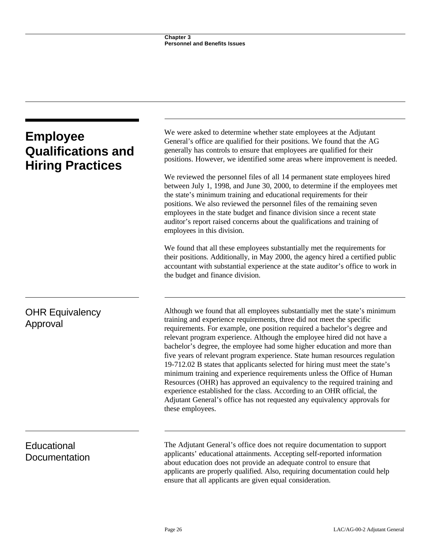| <b>Employee</b><br><b>Qualifications and</b><br><b>Hiring Practices</b> | We were asked to determine whether state employees at the Adjutant<br>General's office are qualified for their positions. We found that the AG<br>generally has controls to ensure that employees are qualified for their<br>positions. However, we identified some areas where improvement is needed.                                                                                                                                                                                                                                                                                                                                                                                                                                                                                                                                                                                  |
|-------------------------------------------------------------------------|-----------------------------------------------------------------------------------------------------------------------------------------------------------------------------------------------------------------------------------------------------------------------------------------------------------------------------------------------------------------------------------------------------------------------------------------------------------------------------------------------------------------------------------------------------------------------------------------------------------------------------------------------------------------------------------------------------------------------------------------------------------------------------------------------------------------------------------------------------------------------------------------|
|                                                                         | We reviewed the personnel files of all 14 permanent state employees hired<br>between July 1, 1998, and June 30, 2000, to determine if the employees met<br>the state's minimum training and educational requirements for their<br>positions. We also reviewed the personnel files of the remaining seven<br>employees in the state budget and finance division since a recent state<br>auditor's report raised concerns about the qualifications and training of<br>employees in this division.                                                                                                                                                                                                                                                                                                                                                                                         |
|                                                                         | We found that all these employees substantially met the requirements for<br>their positions. Additionally, in May 2000, the agency hired a certified public<br>accountant with substantial experience at the state auditor's office to work in<br>the budget and finance division.                                                                                                                                                                                                                                                                                                                                                                                                                                                                                                                                                                                                      |
| <b>OHR Equivalency</b><br>Approval                                      | Although we found that all employees substantially met the state's minimum<br>training and experience requirements, three did not meet the specific<br>requirements. For example, one position required a bachelor's degree and<br>relevant program experience. Although the employee hired did not have a<br>bachelor's degree, the employee had some higher education and more than<br>five years of relevant program experience. State human resources regulation<br>19-712.02 B states that applicants selected for hiring must meet the state's<br>minimum training and experience requirements unless the Office of Human<br>Resources (OHR) has approved an equivalency to the required training and<br>experience established for the class. According to an OHR official, the<br>Adjutant General's office has not requested any equivalency approvals for<br>these employees. |
| Educational<br>Documentation                                            | The Adjutant General's office does not require documentation to support<br>applicants' educational attainments. Accepting self-reported information<br>about education does not provide an adequate control to ensure that<br>applicants are properly qualified. Also, requiring documentation could help<br>ensure that all applicants are given equal consideration.                                                                                                                                                                                                                                                                                                                                                                                                                                                                                                                  |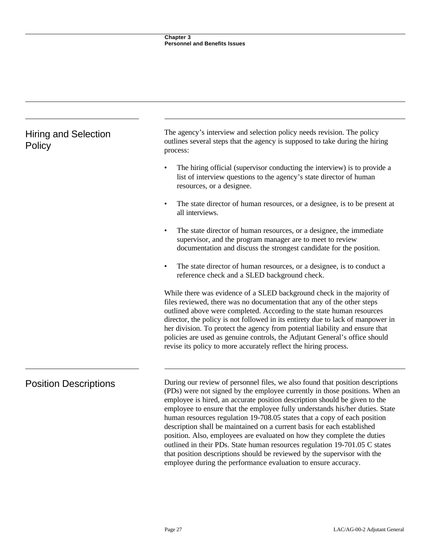| <b>Hiring and Selection</b><br>Policy | The agency's interview and selection policy needs revision. The policy<br>outlines several steps that the agency is supposed to take during the hiring<br>process:                                                                                                                                                                                                                                                                                                                                                                                                                                                                                                                                                                                                                        |  |  |
|---------------------------------------|-------------------------------------------------------------------------------------------------------------------------------------------------------------------------------------------------------------------------------------------------------------------------------------------------------------------------------------------------------------------------------------------------------------------------------------------------------------------------------------------------------------------------------------------------------------------------------------------------------------------------------------------------------------------------------------------------------------------------------------------------------------------------------------------|--|--|
|                                       | The hiring official (supervisor conducting the interview) is to provide a<br>list of interview questions to the agency's state director of human<br>resources, or a designee.                                                                                                                                                                                                                                                                                                                                                                                                                                                                                                                                                                                                             |  |  |
|                                       | The state director of human resources, or a designee, is to be present at<br>all interviews.                                                                                                                                                                                                                                                                                                                                                                                                                                                                                                                                                                                                                                                                                              |  |  |
|                                       | The state director of human resources, or a designee, the immediate<br>$\bullet$<br>supervisor, and the program manager are to meet to review<br>documentation and discuss the strongest candidate for the position.                                                                                                                                                                                                                                                                                                                                                                                                                                                                                                                                                                      |  |  |
|                                       | The state director of human resources, or a designee, is to conduct a<br>reference check and a SLED background check.                                                                                                                                                                                                                                                                                                                                                                                                                                                                                                                                                                                                                                                                     |  |  |
|                                       | While there was evidence of a SLED background check in the majority of<br>files reviewed, there was no documentation that any of the other steps<br>outlined above were completed. According to the state human resources<br>director, the policy is not followed in its entirety due to lack of manpower in<br>her division. To protect the agency from potential liability and ensure that<br>policies are used as genuine controls, the Adjutant General's office should<br>revise its policy to more accurately reflect the hiring process.                                                                                                                                                                                                                                           |  |  |
| <b>Position Descriptions</b>          | During our review of personnel files, we also found that position descriptions<br>(PDs) were not signed by the employee currently in those positions. When an<br>employee is hired, an accurate position description should be given to the<br>employee to ensure that the employee fully understands his/her duties. State<br>human resources regulation 19-708.05 states that a copy of each position<br>description shall be maintained on a current basis for each established<br>position. Also, employees are evaluated on how they complete the duties<br>outlined in their PDs. State human resources regulation 19-701.05 C states<br>that position descriptions should be reviewed by the supervisor with the<br>employee during the performance evaluation to ensure accuracy. |  |  |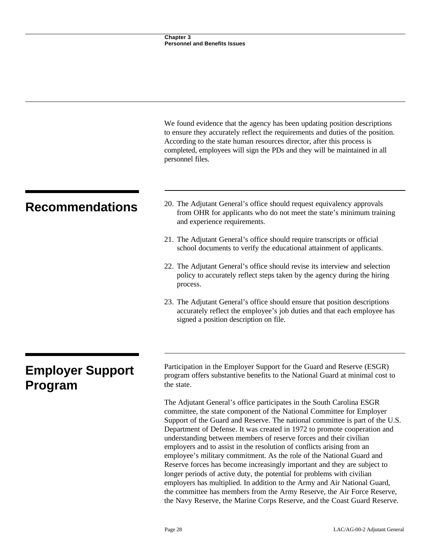|                                    | We found evidence that the agency has been updating position descriptions<br>to ensure they accurately reflect the requirements and duties of the position.<br>According to the state human resources director, after this process is<br>completed, employees will sign the PDs and they will be maintained in all<br>personnel files.                                                                                                                                                                                                                                                                                                                                                     |
|------------------------------------|--------------------------------------------------------------------------------------------------------------------------------------------------------------------------------------------------------------------------------------------------------------------------------------------------------------------------------------------------------------------------------------------------------------------------------------------------------------------------------------------------------------------------------------------------------------------------------------------------------------------------------------------------------------------------------------------|
| <b>Recommendations</b>             | 20. The Adjutant General's office should request equivalency approvals<br>from OHR for applicants who do not meet the state's minimum training<br>and experience requirements.                                                                                                                                                                                                                                                                                                                                                                                                                                                                                                             |
|                                    | 21. The Adjutant General's office should require transcripts or official<br>school documents to verify the educational attainment of applicants.                                                                                                                                                                                                                                                                                                                                                                                                                                                                                                                                           |
|                                    | 22. The Adjutant General's office should revise its interview and selection<br>policy to accurately reflect steps taken by the agency during the hiring<br>process.                                                                                                                                                                                                                                                                                                                                                                                                                                                                                                                        |
|                                    | 23. The Adjutant General's office should ensure that position descriptions<br>accurately reflect the employee's job duties and that each employee has<br>signed a position description on file.                                                                                                                                                                                                                                                                                                                                                                                                                                                                                            |
|                                    |                                                                                                                                                                                                                                                                                                                                                                                                                                                                                                                                                                                                                                                                                            |
| <b>Employer Support</b><br>Program | Participation in the Employer Support for the Guard and Reserve (ESGR)<br>program offers substantive benefits to the National Guard at minimal cost to<br>the state.                                                                                                                                                                                                                                                                                                                                                                                                                                                                                                                       |
|                                    | The Adjutant General's office participates in the South Carolina ESGR<br>committee, the state component of the National Committee for Employer<br>Support of the Guard and Reserve. The national committee is part of the U.S.<br>Department of Defense. It was created in 1972 to promote cooperation and<br>understanding between members of reserve forces and their civilian<br>employers and to assist in the resolution of conflicts arising from an<br>employee's military commitment. As the role of the National Guard and<br>Reserve forces has become increasingly important and they are subject to<br>longer periods of active duty, the potential for problems with civilian |

employers has multiplied. In addition to the Army and Air National Guard, the committee has members from the Army Reserve, the Air Force Reserve, the Navy Reserve, the Marine Corps Reserve, and the Coast Guard Reserve.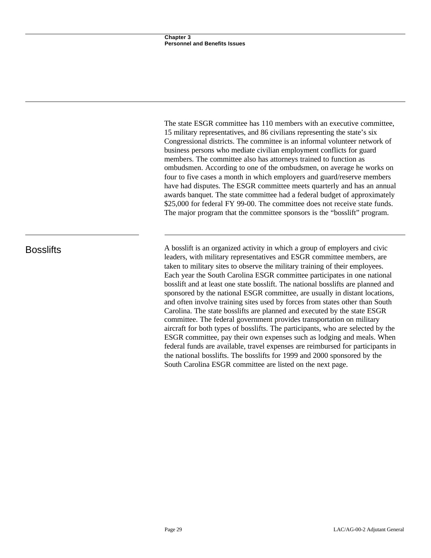The state ESGR committee has 110 members with an executive committee, 15 military representatives, and 86 civilians representing the state's six Congressional districts. The committee is an informal volunteer network of business persons who mediate civilian employment conflicts for guard members. The committee also has attorneys trained to function as ombudsmen. According to one of the ombudsmen, on average he works on four to five cases a month in which employers and guard/reserve members have had disputes. The ESGR committee meets quarterly and has an annual awards banquet. The state committee had a federal budget of approximately \$25,000 for federal FY 99-00. The committee does not receive state funds. The major program that the committee sponsors is the "bosslift" program.

Bosslifts A bosslift is an organized activity in which a group of employers and civic leaders, with military representatives and ESGR committee members, are taken to military sites to observe the military training of their employees. Each year the South Carolina ESGR committee participates in one national bosslift and at least one state bosslift. The national bosslifts are planned and sponsored by the national ESGR committee, are usually in distant locations, and often involve training sites used by forces from states other than South Carolina. The state bosslifts are planned and executed by the state ESGR committee. The federal government provides transportation on military aircraft for both types of bosslifts. The participants, who are selected by the ESGR committee, pay their own expenses such as lodging and meals. When federal funds are available, travel expenses are reimbursed for participants in the national bosslifts. The bosslifts for 1999 and 2000 sponsored by the South Carolina ESGR committee are listed on the next page.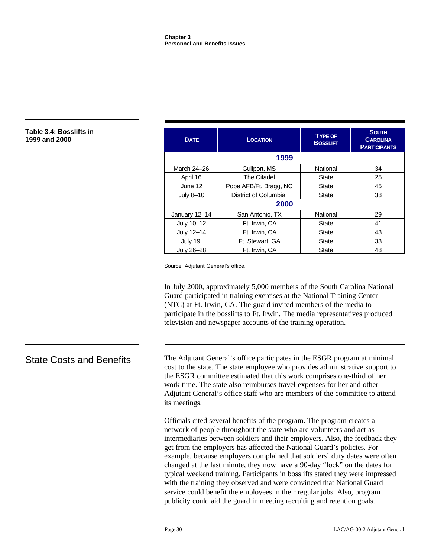#### **Table 3.4: Bosslifts in 1999 and 2000**

| <b>DATE</b>   | <b>LOCATION</b>        | <b>TYPE OF</b><br><b>BOSSLIFT</b> | <b>SOUTH</b><br><b>CAROLINA</b><br><b>PARTICIPANTS</b> |
|---------------|------------------------|-----------------------------------|--------------------------------------------------------|
|               | 1999                   |                                   |                                                        |
| March 24-26   | Gulfport, MS           | National                          | 34                                                     |
| April 16      | The Citadel            | <b>State</b>                      | 25                                                     |
| June 12       | Pope AFB/Ft. Bragg, NC | <b>State</b>                      | 45                                                     |
| July 8-10     | District of Columbia   | <b>State</b>                      | 38                                                     |
| 2000          |                        |                                   |                                                        |
| January 12-14 | San Antonio, TX        | National                          | 29                                                     |
| July 10-12    | Ft. Irwin, CA          | <b>State</b>                      | 41                                                     |
| July 12-14    | Ft. Irwin, CA          | <b>State</b>                      | 43                                                     |
| July 19       | Ft. Stewart, GA        | <b>State</b>                      | 33                                                     |
| July 26-28    | Ft. Irwin, CA          | <b>State</b>                      | 48                                                     |

Source: Adjutant General's office.

In July 2000, approximately 5,000 members of the South Carolina National Guard participated in training exercises at the National Training Center (NTC) at Ft. Irwin, CA. The guard invited members of the media to participate in the bosslifts to Ft. Irwin. The media representatives produced television and newspaper accounts of the training operation.

State Costs and Benefits The Adjutant General's office participates in the ESGR program at minimal cost to the state. The state employee who provides administrative support to the ESGR committee estimated that this work comprises one-third of her work time. The state also reimburses travel expenses for her and other Adjutant General's office staff who are members of the committee to attend its meetings.

> Officials cited several benefits of the program. The program creates a network of people throughout the state who are volunteers and act as intermediaries between soldiers and their employers. Also, the feedback they get from the employers has affected the National Guard's policies. For example, because employers complained that soldiers' duty dates were often changed at the last minute, they now have a 90-day "lock" on the dates for typical weekend training. Participants in bosslifts stated they were impressed with the training they observed and were convinced that National Guard service could benefit the employees in their regular jobs. Also, program publicity could aid the guard in meeting recruiting and retention goals.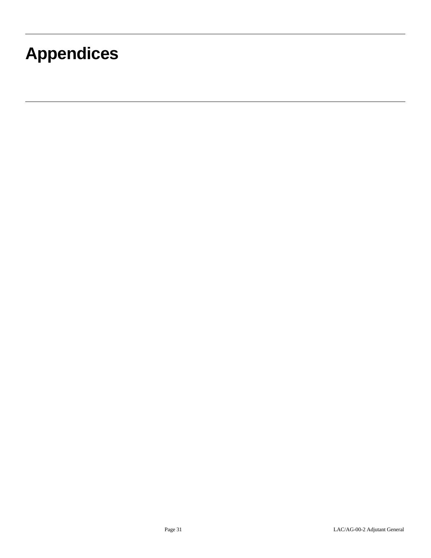# **Appendices**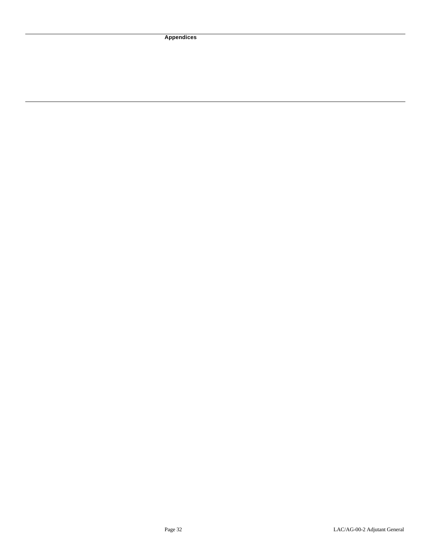**Appendices**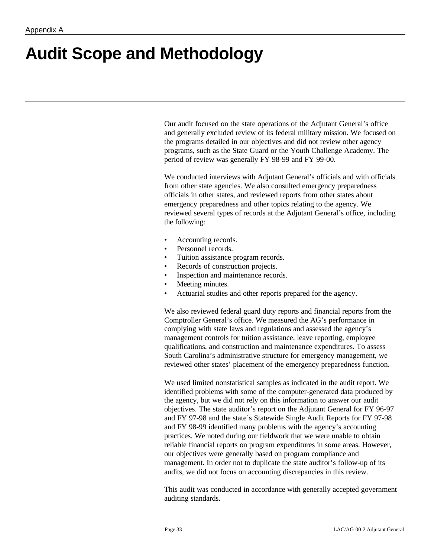# **Audit Scope and Methodology**

Our audit focused on the state operations of the Adjutant General's office and generally excluded review of its federal military mission. We focused on the programs detailed in our objectives and did not review other agency programs, such as the State Guard or the Youth Challenge Academy. The period of review was generally FY 98-99 and FY 99-00.

We conducted interviews with Adjutant General's officials and with officials from other state agencies. We also consulted emergency preparedness officials in other states, and reviewed reports from other states about emergency preparedness and other topics relating to the agency. We reviewed several types of records at the Adjutant General's office, including the following:

- Accounting records.
- Personnel records.
- Tuition assistance program records.
- Records of construction projects.
- Inspection and maintenance records.
- Meeting minutes.
- Actuarial studies and other reports prepared for the agency.

We also reviewed federal guard duty reports and financial reports from the Comptroller General's office. We measured the AG's performance in complying with state laws and regulations and assessed the agency's management controls for tuition assistance, leave reporting, employee qualifications, and construction and maintenance expenditures. To assess South Carolina's administrative structure for emergency management, we reviewed other states' placement of the emergency preparedness function.

We used limited nonstatistical samples as indicated in the audit report. We identified problems with some of the computer-generated data produced by the agency, but we did not rely on this information to answer our audit objectives. The state auditor's report on the Adjutant General for FY 96-97 and FY 97-98 and the state's Statewide Single Audit Reports for FY 97-98 and FY 98-99 identified many problems with the agency's accounting practices. We noted during our fieldwork that we were unable to obtain reliable financial reports on program expenditures in some areas. However, our objectives were generally based on program compliance and management. In order not to duplicate the state auditor's follow-up of its audits, we did not focus on accounting discrepancies in this review.

This audit was conducted in accordance with generally accepted government auditing standards.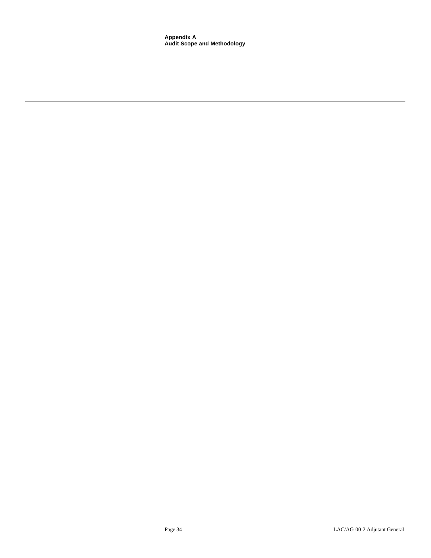**Appendix A Audit Scope and Methodology**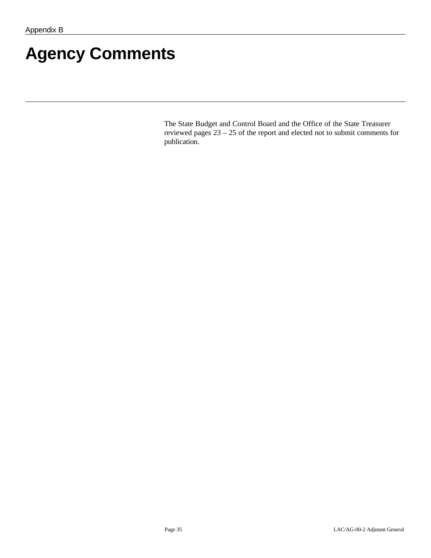# **Agency Comments**

The State Budget and Control Board and the Office of the State Treasurer reviewed pages 23 – 25 of the report and elected not to submit comments for publication.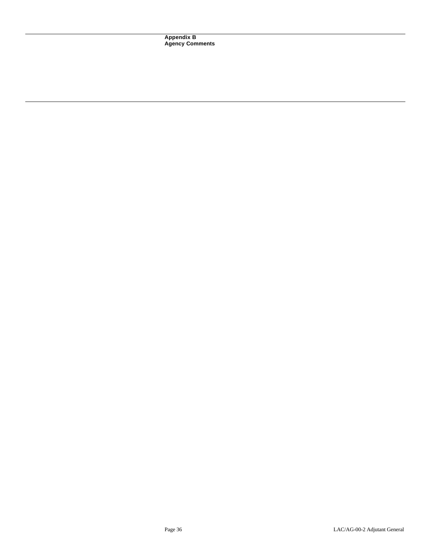**Appendix B Agency Comments**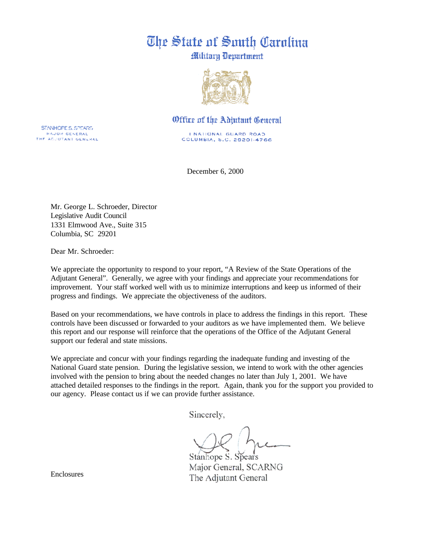# The State of South Carolina

Military Department



# Office of the Adjutant Ceneral

I NATIONAL GUARD ROAD COLUMBIA, S.C. 29201-4766

December 6, 2000

Mr. George L. Schroeder, Director Legislative Audit Council 1331 Elmwood Ave., Suite 315 Columbia, SC 29201

Dear Mr. Schroeder:

We appreciate the opportunity to respond to your report, "A Review of the State Operations of the Adjutant General". Generally, we agree with your findings and appreciate your recommendations for improvement. Your staff worked well with us to minimize interruptions and keep us informed of their progress and findings. We appreciate the objectiveness of the auditors.

Based on your recommendations, we have controls in place to address the findings in this report. These controls have been discussed or forwarded to your auditors as we have implemented them. We believe this report and our response will reinforce that the operations of the Office of the Adjutant General support our federal and state missions.

We appreciate and concur with your findings regarding the inadequate funding and investing of the National Guard state pension. During the legislative session, we intend to work with the other agencies involved with the pension to bring about the needed changes no later than July 1, 2001. We have attached detailed responses to the findings in the report. Again, thank you for the support you provided to our agency. Please contact us if we can provide further assistance.

Sincerely,

Stánhope S. Spears Major General, SCARNG The Adjutant General

Enclosures

STANHOPE S. SPEARS MAJOR GENERAL THE ACUUTANT GENERAL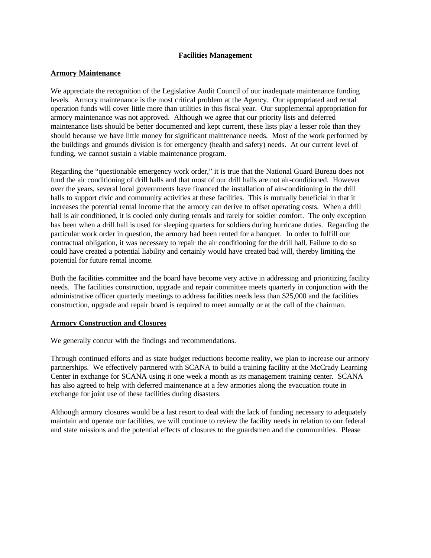## **Facilities Management**

## **Armory Maintenance**

We appreciate the recognition of the Legislative Audit Council of our inadequate maintenance funding levels. Armory maintenance is the most critical problem at the Agency. Our appropriated and rental operation funds will cover little more than utilities in this fiscal year. Our supplemental appropriation for armory maintenance was not approved. Although we agree that our priority lists and deferred maintenance lists should be better documented and kept current, these lists play a lesser role than they should because we have little money for significant maintenance needs. Most of the work performed by the buildings and grounds division is for emergency (health and safety) needs. At our current level of funding, we cannot sustain a viable maintenance program.

Regarding the "questionable emergency work order," it is true that the National Guard Bureau does not fund the air conditioning of drill halls and that most of our drill halls are not air-conditioned. However over the years, several local governments have financed the installation of air-conditioning in the drill halls to support civic and community activities at these facilities. This is mutually beneficial in that it increases the potential rental income that the armory can derive to offset operating costs. When a drill hall is air conditioned, it is cooled only during rentals and rarely for soldier comfort. The only exception has been when a drill hall is used for sleeping quarters for soldiers during hurricane duties. Regarding the particular work order in question, the armory had been rented for a banquet. In order to fulfill our contractual obligation, it was necessary to repair the air conditioning for the drill hall. Failure to do so could have created a potential liability and certainly would have created bad will, thereby limiting the potential for future rental income.

Both the facilities committee and the board have become very active in addressing and prioritizing facility needs. The facilities construction, upgrade and repair committee meets quarterly in conjunction with the administrative officer quarterly meetings to address facilities needs less than \$25,000 and the facilities construction, upgrade and repair board is required to meet annually or at the call of the chairman.

### **Armory Construction and Closures**

We generally concur with the findings and recommendations.

Through continued efforts and as state budget reductions become reality, we plan to increase our armory partnerships. We effectively partnered with SCANA to build a training facility at the McCrady Learning Center in exchange for SCANA using it one week a month as its management training center. SCANA has also agreed to help with deferred maintenance at a few armories along the evacuation route in exchange for joint use of these facilities during disasters.

Although armory closures would be a last resort to deal with the lack of funding necessary to adequately maintain and operate our facilities, we will continue to review the facility needs in relation to our federal and state missions and the potential effects of closures to the guardsmen and the communities. Please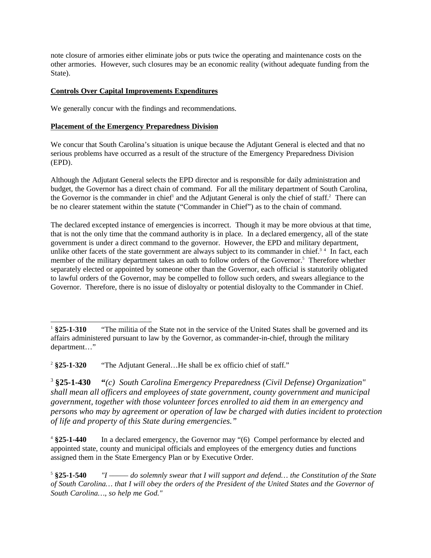note closure of armories either eliminate jobs or puts twice the operating and maintenance costs on the other armories. However, such closures may be an economic reality (without adequate funding from the State).

# **Controls Over Capital Improvements Expenditures**

We generally concur with the findings and recommendations.

# **Placement of the Emergency Preparedness Division**

We concur that South Carolina's situation is unique because the Adjutant General is elected and that no serious problems have occurred as a result of the structure of the Emergency Preparedness Division (EPD).

Although the Adjutant General selects the EPD director and is responsible for daily administration and budget, the Governor has a direct chain of command. For all the military department of South Carolina, the Governor is the commander in chief<sup>1</sup> and the Adjutant General is only the chief of staff.<sup>2</sup> There can be no clearer statement within the statute ("Commander in Chief") as to the chain of command.

The declared excepted instance of emergencies is incorrect. Though it may be more obvious at that time, that is not the only time that the command authority is in place. In a declared emergency, all of the state government is under a direct command to the governor. However, the EPD and military department, unlike other facets of the state government are always subject to its commander in chief. $34$  In fact, each member of the military department takes an oath to follow orders of the Governor.<sup>5</sup> Therefore whether separately elected or appointed by someone other than the Governor, each official is statutorily obligated to lawful orders of the Governor, may be compelled to follow such orders, and swears allegiance to the Governor. Therefore, there is no issue of disloyalty or potential disloyalty to the Commander in Chief.

<sup>2</sup> § 25-1-320 **§25-1-320** "The Adjutant General…He shall be ex officio chief of staff."

 $3$  \$25-1-430 **§25-1-430 "***(c) South Carolina Emergency Preparedness (Civil Defense) Organization" shall mean all officers and employees of state government, county government and municipal government, together with those volunteer forces enrolled to aid them in an emergency and persons who may by agreement or operation of law be charged with duties incident to protection of life and property of this State during emergencies."*

 $4825 - 1 - 440$ In a declared emergency, the Governor may "(6) Compel performance by elected and appointed state, county and municipal officials and employees of the emergency duties and functions assigned them in the State Emergency Plan or by Executive Order.

 $5825 - 1 - 540$ **§25-1-540** *"I ––––– do solemnly swear that I will support and defend… the Constitution of the State of South Carolina… that I will obey the orders of the President of the United States and the Governor of South Carolina…, so help me God."*

 $1$  §25-1-310 **§25-1-310** "The militia of the State not in the service of the United States shall be governed and its affairs administered pursuant to law by the Governor, as commander-in-chief, through the military department…"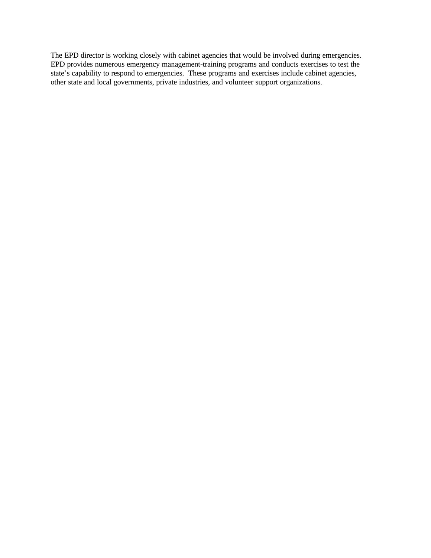The EPD director is working closely with cabinet agencies that would be involved during emergencies. EPD provides numerous emergency management-training programs and conducts exercises to test the state's capability to respond to emergencies. These programs and exercises include cabinet agencies, other state and local governments, private industries, and volunteer support organizations.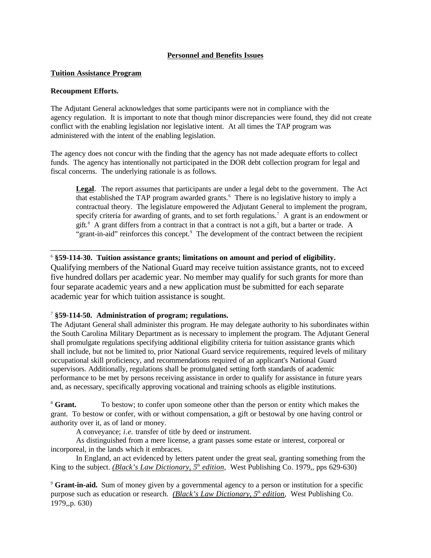## **Personnel and Benefits Issues**

## **Tuition Assistance Program**

## **Recoupment Efforts.**

The Adjutant General acknowledges that some participants were not in compliance with the agency regulation. It is important to note that though minor discrepancies were found, they did not create conflict with the enabling legislation nor legislative intent. At all times the TAP program was administered with the intent of the enabling legislation.

The agency does not concur with the finding that the agency has not made adequate efforts to collect funds. The agency has intentionally not participated in the DOR debt collection program for legal and fiscal concerns. The underlying rationale is as follows.

**Legal**. The report assumes that participants are under a legal debt to the government. The Act that established the TAP program awarded grants.<sup>6</sup> There is no legislative history to imply a contractual theory. The legislature empowered the Adjutant General to implement the program, specify criteria for awarding of grants, and to set forth regulations.<sup>7</sup> A grant is an endowment or gift.<sup>8</sup> A grant differs from a contract in that a contract is not a gift, but a barter or trade. A "grant-in-aid" reinforces this concept.<sup>9</sup> The development of the contract between the recipient

## 6 **§59-114-30. Tuition assistance grants; limitations on amount and period of eligibility.**

Qualifying members of the National Guard may receive tuition assistance grants, not to exceed five hundred dollars per academic year. No member may qualify for such grants for more than four separate academic years and a new application must be submitted for each separate academic year for which tuition assistance is sought.

## 7 **§59-114-50. Administration of program; regulations.**

The Adjutant General shall administer this program. He may delegate authority to his subordinates within the South Carolina Military Department as is necessary to implement the program. The Adjutant General shall promulgate regulations specifying additional eligibility criteria for tuition assistance grants which shall include, but not be limited to, prior National Guard service requirements, required levels of military occupational skill proficiency, and recommendations required of an applicant's National Guard supervisors. Additionally, regulations shall be promulgated setting forth standards of academic performance to be met by persons receiving assistance in order to qualify for assistance in future years and, as necessary, specifically approving vocational and training schools as eligible institutions.

<sup>8</sup> **Grant.** To bestow; to confer upon someone other than the person or entity which makes the grant. To bestow or confer, with or without compensation, a gift or bestowal by one having control or authority over it, as of land or money.

A conveyance; *i.e.* transfer of title by deed or instrument.

As distinguished from a mere license, a grant passes some estate or interest, corporeal or incorporeal, in the lands which it embraces.

In England, an act evidenced by letters patent under the great seal, granting something from the King to the subject. *(Black's Law Dictionary, 5th edition*, West Publishing Co. 1979,, pps 629-630)

<sup>9</sup> **Grant-in-aid.** Sum of money given by a governmental agency to a person or institution for a specific purpose such as education or research. *(Black's Law Dictionary, 5th edition*, West Publishing Co. 1979,,p. 630)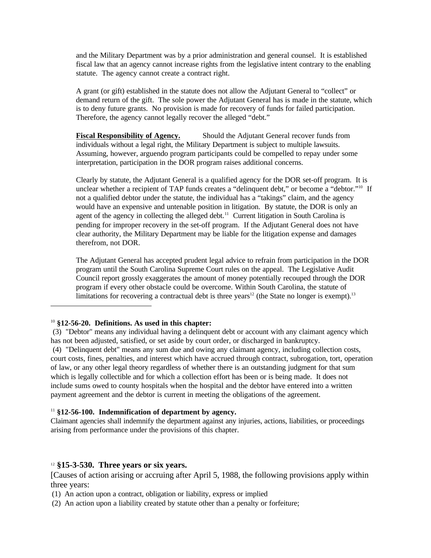and the Military Department was by a prior administration and general counsel. It is established fiscal law that an agency cannot increase rights from the legislative intent contrary to the enabling statute. The agency cannot create a contract right.

A grant (or gift) established in the statute does not allow the Adjutant General to "collect" or demand return of the gift. The sole power the Adjutant General has is made in the statute, which is to deny future grants. No provision is made for recovery of funds for failed participation. Therefore, the agency cannot legally recover the alleged "debt."

**Fiscal Responsibility of Agency.** Should the Adjutant General recover funds from individuals without a legal right, the Military Department is subject to multiple lawsuits. Assuming, however, arguendo program participants could be compelled to repay under some interpretation, participation in the DOR program raises additional concerns.

Clearly by statute, the Adjutant General is a qualified agency for the DOR set-off program. It is unclear whether a recipient of TAP funds creates a "delinquent debt," or become a "debtor."<sup>10</sup> If not a qualified debtor under the statute, the individual has a "takings" claim, and the agency would have an expensive and untenable position in litigation. By statute, the DOR is only an agent of the agency in collecting the alleged debt.<sup>11</sup> Current litigation in South Carolina is pending for improper recovery in the set-off program. If the Adjutant General does not have clear authority, the Military Department may be liable for the litigation expense and damages therefrom, not DOR.

The Adjutant General has accepted prudent legal advice to refrain from participation in the DOR program until the South Carolina Supreme Court rules on the appeal. The Legislative Audit Council report grossly exaggerates the amount of money potentially recouped through the DOR program if every other obstacle could be overcome. Within South Carolina, the statute of limitations for recovering a contractual debt is three years<sup>12</sup> (the State no longer is exempt).<sup>13</sup>

## <sup>10</sup> **§12-56-20. Definitions. As used in this chapter:**

 (3) "Debtor" means any individual having a delinquent debt or account with any claimant agency which has not been adjusted, satisfied, or set aside by court order, or discharged in bankruptcy. (4) "Delinquent debt" means any sum due and owing any claimant agency, including collection costs, court costs, fines, penalties, and interest which have accrued through contract, subrogation, tort, operation of law, or any other legal theory regardless of whether there is an outstanding judgment for that sum which is legally collectible and for which a collection effort has been or is being made. It does not include sums owed to county hospitals when the hospital and the debtor have entered into a written payment agreement and the debtor is current in meeting the obligations of the agreement.

## <sup>11</sup> **§12-56-100. Indemnification of department by agency.**

Claimant agencies shall indemnify the department against any injuries, actions, liabilities, or proceedings arising from performance under the provisions of this chapter.

## <sup>12</sup> **§15-3-530. Three years or six years.**

[Causes of action arising or accruing after April 5, 1988, the following provisions apply within three years:

- (1) An action upon a contract, obligation or liability, express or implied
- (2) An action upon a liability created by statute other than a penalty or forfeiture;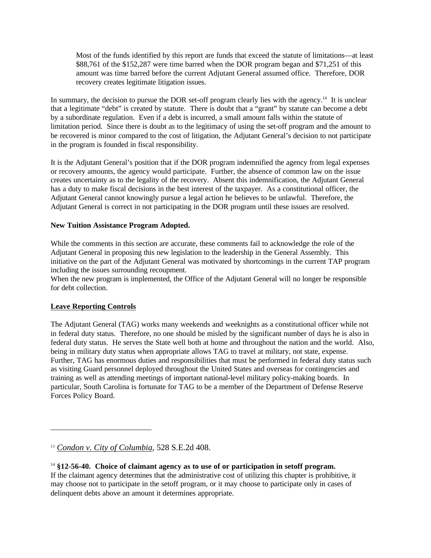Most of the funds identified by this report are funds that exceed the statute of limitations—at least \$88,761 of the \$152,287 were time barred when the DOR program began and \$71,251 of this amount was time barred before the current Adjutant General assumed office. Therefore, DOR recovery creates legitimate litigation issues.

In summary, the decision to pursue the DOR set-off program clearly lies with the agency.<sup>14</sup> It is unclear that a legitimate "debt" is created by statute. There is doubt that a "grant" by statute can become a debt by a subordinate regulation. Even if a debt is incurred, a small amount falls within the statute of limitation period. Since there is doubt as to the legitimacy of using the set-off program and the amount to be recovered is minor compared to the cost of litigation, the Adjutant General's decision to not participate in the program is founded in fiscal responsibility.

It is the Adjutant General's position that if the DOR program indemnified the agency from legal expenses or recovery amounts, the agency would participate. Further, the absence of common law on the issue creates uncertainty as to the legality of the recovery. Absent this indemnification, the Adjutant General has a duty to make fiscal decisions in the best interest of the taxpayer. As a constitutional officer, the Adjutant General cannot knowingly pursue a legal action he believes to be unlawful. Therefore, the Adjutant General is correct in not participating in the DOR program until these issues are resolved.

## **New Tuition Assistance Program Adopted.**

While the comments in this section are accurate, these comments fail to acknowledge the role of the Adjutant General in proposing this new legislation to the leadership in the General Assembly. This initiative on the part of the Adjutant General was motivated by shortcomings in the current TAP program including the issues surrounding recoupment.

When the new program is implemented, the Office of the Adjutant General will no longer be responsible for debt collection.

### **Leave Reporting Controls**

The Adjutant General (TAG) works many weekends and weeknights as a constitutional officer while not in federal duty status. Therefore, no one should be misled by the significant number of days he is also in federal duty status. He serves the State well both at home and throughout the nation and the world. Also, being in military duty status when appropriate allows TAG to travel at military, not state, expense. Further, TAG has enormous duties and responsibilities that must be performed in federal duty status such as visiting Guard personnel deployed throughout the United States and overseas for contingencies and training as well as attending meetings of important national-level military policy-making boards. In particular, South Carolina is fortunate for TAG to be a member of the Department of Defense Reserve Forces Policy Board.

<sup>13</sup> *Condon v. City of Columbia*, 528 S.E.2d 408.

<sup>14</sup> **§12-56-40. Choice of claimant agency as to use of or participation in setoff program.**  If the claimant agency determines that the administrative cost of utilizing this chapter is prohibitive, it may choose not to participate in the setoff program, or it may choose to participate only in cases of delinquent debts above an amount it determines appropriate.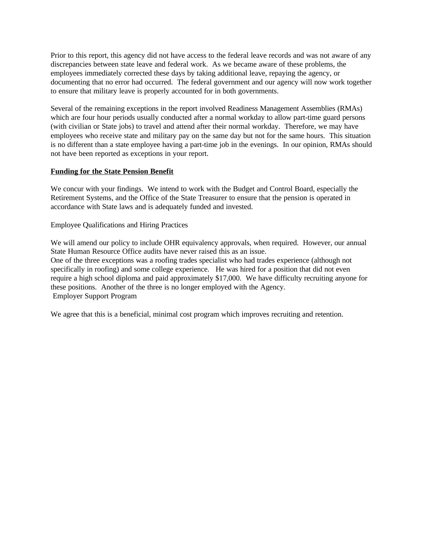Prior to this report, this agency did not have access to the federal leave records and was not aware of any discrepancies between state leave and federal work. As we became aware of these problems, the employees immediately corrected these days by taking additional leave, repaying the agency, or documenting that no error had occurred. The federal government and our agency will now work together to ensure that military leave is properly accounted for in both governments.

Several of the remaining exceptions in the report involved Readiness Management Assemblies (RMAs) which are four hour periods usually conducted after a normal workday to allow part-time guard persons (with civilian or State jobs) to travel and attend after their normal workday. Therefore, we may have employees who receive state and military pay on the same day but not for the same hours. This situation is no different than a state employee having a part-time job in the evenings. In our opinion, RMAs should not have been reported as exceptions in your report.

## **Funding for the State Pension Benefit**

We concur with your findings. We intend to work with the Budget and Control Board, especially the Retirement Systems, and the Office of the State Treasurer to ensure that the pension is operated in accordance with State laws and is adequately funded and invested.

Employee Qualifications and Hiring Practices

We will amend our policy to include OHR equivalency approvals, when required. However, our annual State Human Resource Office audits have never raised this as an issue. One of the three exceptions was a roofing trades specialist who had trades experience (although not specifically in roofing) and some college experience. He was hired for a position that did not even require a high school diploma and paid approximately \$17,000. We have difficulty recruiting anyone for these positions. Another of the three is no longer employed with the Agency. Employer Support Program

We agree that this is a beneficial, minimal cost program which improves recruiting and retention.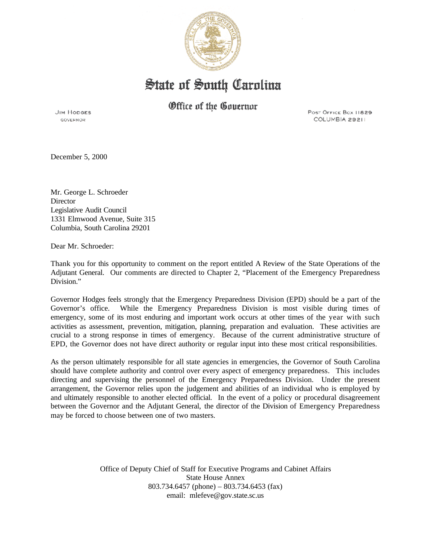

# State of South Carolina

Office of the Governor

**JIM HODGES GOVERNOR** 

POST OFFICE BOX 11829 COLUMBIA 29211

December 5, 2000

Mr. George L. Schroeder **Director** Legislative Audit Council 1331 Elmwood Avenue, Suite 315 Columbia, South Carolina 29201

Dear Mr. Schroeder:

Thank you for this opportunity to comment on the report entitled A Review of the State Operations of the Adjutant General. Our comments are directed to Chapter 2, "Placement of the Emergency Preparedness Division."

Governor Hodges feels strongly that the Emergency Preparedness Division (EPD) should be a part of the Governor's office. While the Emergency Preparedness Division is most visible during times of emergency, some of its most enduring and important work occurs at other times of the year with such activities as assessment, prevention, mitigation, planning, preparation and evaluation. These activities are crucial to a strong response in times of emergency. Because of the current administrative structure of EPD, the Governor does not have direct authority or regular input into these most critical responsibilities.

As the person ultimately responsible for all state agencies in emergencies, the Governor of South Carolina should have complete authority and control over every aspect of emergency preparedness. This includes directing and supervising the personnel of the Emergency Preparedness Division. Under the present arrangement, the Governor relies upon the judgement and abilities of an individual who is employed by and ultimately responsible to another elected official. In the event of a policy or procedural disagreement between the Governor and the Adjutant General, the director of the Division of Emergency Preparedness may be forced to choose between one of two masters.

> Office of Deputy Chief of Staff for Executive Programs and Cabinet Affairs State House Annex 803.734.6457 (phone) – 803.734.6453 (fax) email: mlefeve@gov.state.sc.us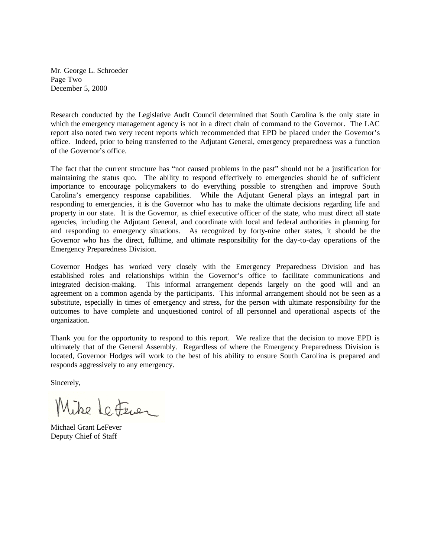Mr. George L. Schroeder Page Two December 5, 2000

Research conducted by the Legislative Audit Council determined that South Carolina is the only state in which the emergency management agency is not in a direct chain of command to the Governor. The LAC report also noted two very recent reports which recommended that EPD be placed under the Governor's office. Indeed, prior to being transferred to the Adjutant General, emergency preparedness was a function of the Governor's office.

The fact that the current structure has "not caused problems in the past" should not be a justification for maintaining the status quo. The ability to respond effectively to emergencies should be of sufficient importance to encourage policymakers to do everything possible to strengthen and improve South Carolina's emergency response capabilities. While the Adjutant General plays an integral part in responding to emergencies, it is the Governor who has to make the ultimate decisions regarding life and property in our state. It is the Governor, as chief executive officer of the state, who must direct all state agencies, including the Adjutant General, and coordinate with local and federal authorities in planning for and responding to emergency situations. As recognized by forty-nine other states, it should be the Governor who has the direct, fulltime, and ultimate responsibility for the day-to-day operations of the Emergency Preparedness Division.

Governor Hodges has worked very closely with the Emergency Preparedness Division and has established roles and relationships within the Governor's office to facilitate communications and integrated decision-making. This informal arrangement depends largely on the good will and an agreement on a common agenda by the participants. This informal arrangement should not be seen as a substitute, especially in times of emergency and stress, for the person with ultimate responsibility for the outcomes to have complete and unquestioned control of all personnel and operational aspects of the organization.

Thank you for the opportunity to respond to this report. We realize that the decision to move EPD is ultimately that of the General Assembly. Regardless of where the Emergency Preparedness Division is located, Governor Hodges will work to the best of his ability to ensure South Carolina is prepared and responds aggressively to any emergency.

Sincerely,

Mike Letever

Michael Grant LeFever Deputy Chief of Staff